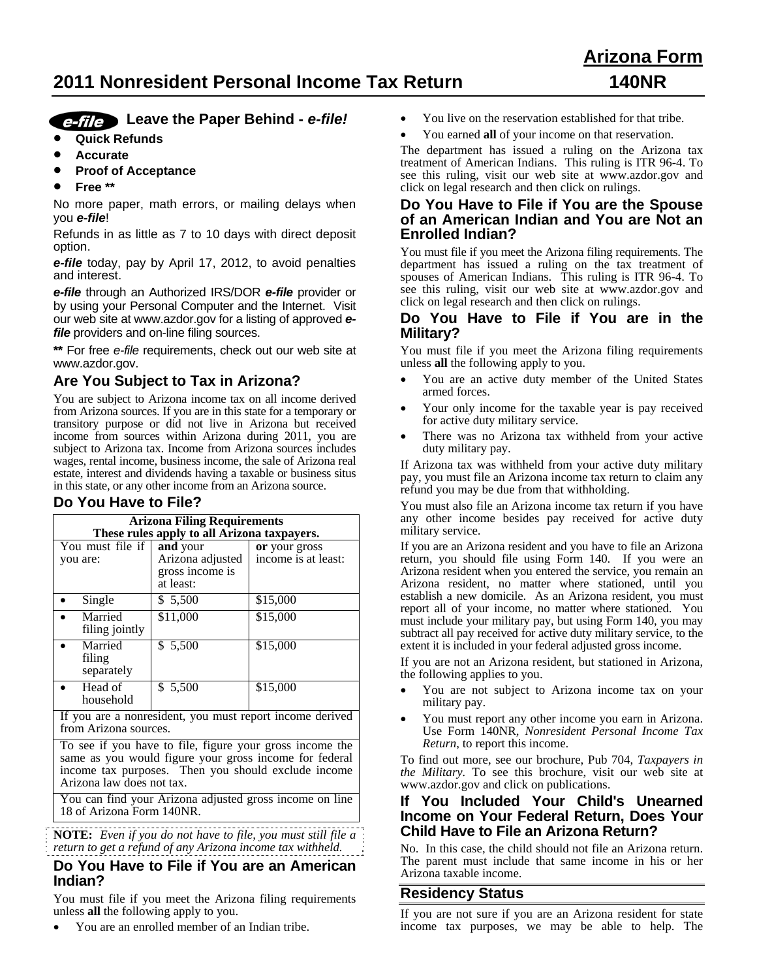# **2011 Nonresident Personal Income Tax Return 140NR**

# **Arizona Form**

# *e-file* Leave the Paper Behind - *e-file!*

- **Quick Refunds**
- **Accurate**
- **Proof of Acceptance**
- **Free \*\***

No more paper, math errors, or mailing delays when you *e-file*!

Refunds in as little as 7 to 10 days with direct deposit option.

*e-file* today, pay by April 17, 2012, to avoid penalties and interest.

*e-file* through an Authorized IRS/DOR *e-file* provider or by using your Personal Computer and the Internet. Visit our web site at www.azdor.gov for a listing of approved *efile* providers and on-line filing sources.

**\*\*** For free *e-file* requirements, check out our web site at www.azdor.gov.

# **Are You Subject to Tax in Arizona?**

You are subject to Arizona income tax on all income derived from Arizona sources. If you are in this state for a temporary or transitory purpose or did not live in Arizona but received income from sources within Arizona during 2011, you are subject to Arizona tax. Income from Arizona sources includes wages, rental income, business income, the sale of Arizona real estate, interest and dividends having a taxable or business situs in this state, or any other income from an Arizona source.

# **Do You Have to File?**

| <b>Arizona Filing Requirements</b> |                                                              |                                      |  |  |
|------------------------------------|--------------------------------------------------------------|--------------------------------------|--|--|
|                                    | These rules apply to all Arizona taxpayers.                  |                                      |  |  |
| You must file if<br>you are:       | and your<br>Arizona adjusted<br>gross income is<br>at least: | or your gross<br>income is at least: |  |  |
| Single                             | \$ 5,500                                                     | \$15,000                             |  |  |
| Married<br>filing jointly          | \$11,000                                                     | \$15,000                             |  |  |
| Married<br>filing<br>separately    | \$5,500                                                      | \$15,000                             |  |  |
| Head of<br>household               | \$ 5,500                                                     | \$15,000                             |  |  |

If you are a nonresident, you must report income derived from Arizona sources.

To see if you have to file, figure your gross income the same as you would figure your gross income for federal income tax purposes. Then you should exclude income Arizona law does not tax.

You can find your Arizona adjusted gross income on line 18 of Arizona Form 140NR.

**NOTE:** *Even if you do not have to file, you must still file a return to get a refund of any Arizona income tax withheld.*

## **Do You Have to File if You are an American Indian?**

You must file if you meet the Arizona filing requirements unless **all** the following apply to you.

You are an enrolled member of an Indian tribe.

- You live on the reservation established for that tribe.
- You earned **all** of your income on that reservation.

The department has issued a ruling on the Arizona tax treatment of American Indians. This ruling is ITR 96-4. To see this ruling, visit our web site at www.azdor.gov and click on legal research and then click on rulings.

## **Do You Have to File if You are the Spouse of an American Indian and You are Not an Enrolled Indian?**

You must file if you meet the Arizona filing requirements. The department has issued a ruling on the tax treatment of spouses of American Indians. This ruling is ITR 96-4. To see this ruling, visit our web site at www.azdor.gov and click on legal research and then click on rulings.

## **Do You Have to File if You are in the Military?**

You must file if you meet the Arizona filing requirements unless **all** the following apply to you.

- You are an active duty member of the United States armed forces.
- Your only income for the taxable year is pay received for active duty military service.
- There was no Arizona tax withheld from your active duty military pay.

If Arizona tax was withheld from your active duty military pay, you must file an Arizona income tax return to claim any refund you may be due from that withholding.

You must also file an Arizona income tax return if you have any other income besides pay received for active duty military service.

If you are an Arizona resident and you have to file an Arizona return, you should file using Form 140. If you were an Arizona resident when you entered the service, you remain an Arizona resident, no matter where stationed, until you establish a new domicile. As an Arizona resident, you must report all of your income, no matter where stationed. You must include your military pay, but using Form 140, you may subtract all pay received for active duty military service, to the extent it is included in your federal adjusted gross income.

If you are not an Arizona resident, but stationed in Arizona, the following applies to you.

- You are not subject to Arizona income tax on your military pay.
- You must report any other income you earn in Arizona. Use Form 140NR, *Nonresident Personal Income Tax Return*, to report this income.

To find out more, see our brochure, Pub 704, *Taxpayers in the Military.* To see this brochure, visit our web site at www.azdor.gov and click on publications.

## **If You Included Your Child's Unearned Income on Your Federal Return, Does Your Child Have to File an Arizona Return?**

No. In this case, the child should not file an Arizona return. The parent must include that same income in his or her Arizona taxable income.

## **Residency Status**

If you are not sure if you are an Arizona resident for state income tax purposes, we may be able to help. The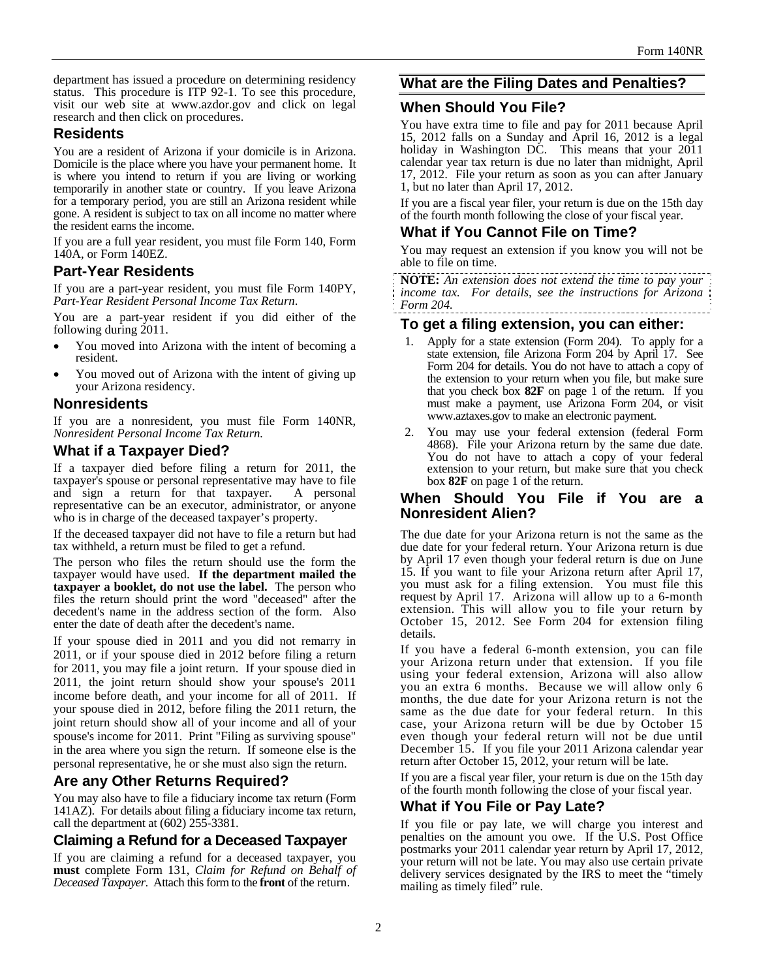department has issued a procedure on determining residency status. This procedure is ITP 92-1. To see this procedure, visit our web site at www.azdor.gov and click on legal research and then click on procedures.

## **Residents**

You are a resident of Arizona if your domicile is in Arizona. Domicile is the place where you have your permanent home. It is where you intend to return if you are living or working temporarily in another state or country. If you leave Arizona for a temporary period, you are still an Arizona resident while gone. A resident is subject to tax on all income no matter where the resident earns the income.

If you are a full year resident, you must file Form 140, Form 140A, or Form 140EZ.

# **Part-Year Residents**

If you are a part-year resident, you must file Form 140PY, *Part-Year Resident Personal Income Tax Return*.

You are a part-year resident if you did either of the following during 2011.

- You moved into Arizona with the intent of becoming a resident.
- You moved out of Arizona with the intent of giving up your Arizona residency.

## **Nonresidents**

If you are a nonresident, you must file Form 140NR, *Nonresident Personal Income Tax Return.*

## **What if a Taxpayer Died?**

If a taxpayer died before filing a return for 2011, the taxpayer's spouse or personal representative may have to file and sign a return for that taxpayer. A personal representative can be an executor, administrator, or anyone who is in charge of the deceased taxpayer's property.

If the deceased taxpayer did not have to file a return but had tax withheld, a return must be filed to get a refund.

The person who files the return should use the form the taxpayer would have used. **If the department mailed the taxpayer a booklet, do not use the label.** The person who files the return should print the word "deceased" after the decedent's name in the address section of the form. Also enter the date of death after the decedent's name.

If your spouse died in 2011 and you did not remarry in 2011, or if your spouse died in 2012 before filing a return for 2011, you may file a joint return. If your spouse died in 2011, the joint return should show your spouse's 2011 income before death, and your income for all of 2011. If your spouse died in 2012, before filing the 2011 return, the joint return should show all of your income and all of your spouse's income for 2011. Print "Filing as surviving spouse" in the area where you sign the return. If someone else is the personal representative, he or she must also sign the return.

# **Are any Other Returns Required?**

You may also have to file a fiduciary income tax return (Form 141AZ). For details about filing a fiduciary income tax return, call the department at (602) 255-3381.

# **Claiming a Refund for a Deceased Taxpayer**

If you are claiming a refund for a deceased taxpayer, you **must** complete Form 131, *Claim for Refund on Behalf of Deceased Taxpayer*. Attach this form to the **front** of the return.

# **What are the Filing Dates and Penalties?**

# **When Should You File?**

You have extra time to file and pay for 2011 because April 15, 2012 falls on a Sunday and April 16, 2012 is a legal holiday in Washington DC. This means that your 2011 calendar year tax return is due no later than midnight, April 17, 2012. File your return as soon as you can after January 1, but no later than April 17, 2012.

If you are a fiscal year filer, your return is due on the 15th day of the fourth month following the close of your fiscal year.

# **What if You Cannot File on Time?**

You may request an extension if you know you will not be able to file on time.

**NOTE:** *An extension does not extend the time to pay your income tax. For details, see the instructions for Arizona Form 204.* 

## **To get a filing extension, you can either:**

- 1. Apply for a state extension (Form 204). To apply for a state extension, file Arizona Form 204 by April 17. See Form 204 for details. You do not have to attach a copy of the extension to your return when you file, but make sure that you check box **82F** on page 1 of the return. If you must make a payment, use Arizona Form 204*,* or visit www.aztaxes.gov to make an electronic payment.
- 2. You may use your federal extension (federal Form 4868). File your Arizona return by the same due date. You do not have to attach a copy of your federal extension to your return, but make sure that you check box **82F** on page 1 of the return.

## **When Should You File if You are a Nonresident Alien?**

The due date for your Arizona return is not the same as the due date for your federal return. Your Arizona return is due by April 17 even though your federal return is due on June 15. If you want to file your Arizona return after April 17, you must ask for a filing extension. You must file this request by April 17. Arizona will allow up to a 6-month extension. This will allow you to file your return by October 15, 2012. See Form 204 for extension filing details.

If you have a federal 6-month extension, you can file your Arizona return under that extension. If you file using your federal extension, Arizona will also allow you an extra 6 months. Because we will allow only 6 months, the due date for your Arizona return is not the same as the due date for your federal return. In this case, your Arizona return will be due by October 15 even though your federal return will not be due until December 15. If you file your 2011 Arizona calendar year return after October 15, 2012, your return will be late.

If you are a fiscal year filer, your return is due on the 15th day of the fourth month following the close of your fiscal year.

# **What if You File or Pay Late?**

If you file or pay late, we will charge you interest and penalties on the amount you owe. If the U.S. Post Office postmarks your 2011 calendar year return by April 17, 2012, your return will not be late. You may also use certain private delivery services designated by the IRS to meet the "timely mailing as timely filed" rule.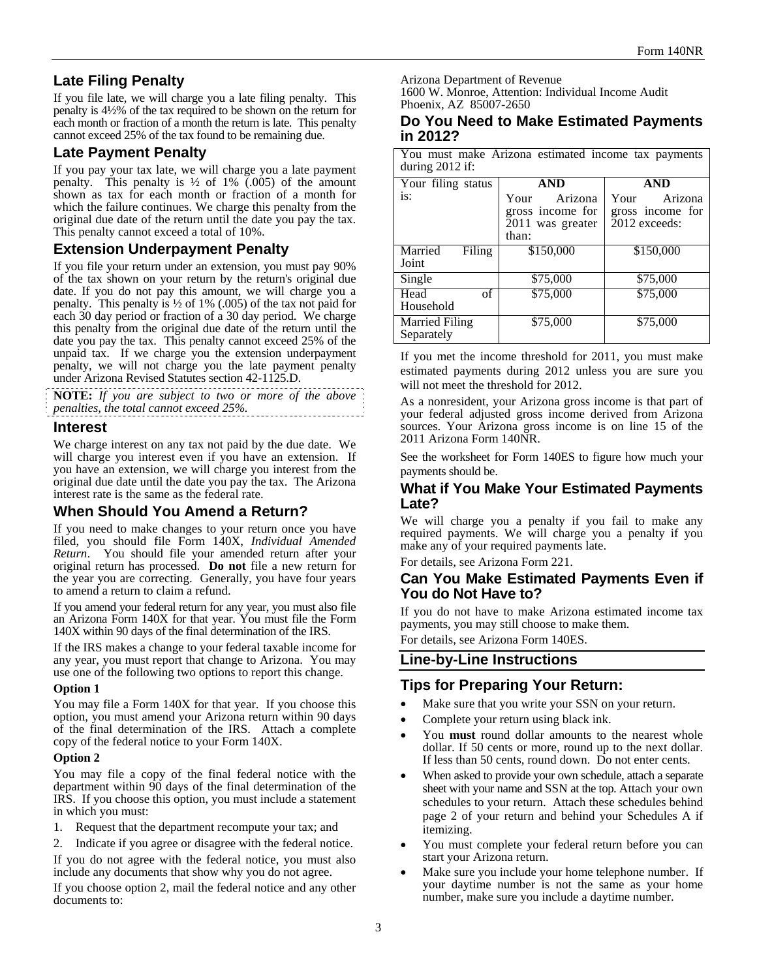# **Late Filing Penalty**

If you file late, we will charge you a late filing penalty. This penalty is 4½% of the tax required to be shown on the return for each month or fraction of a month the return is late. This penalty cannot exceed 25% of the tax found to be remaining due.

# **Late Payment Penalty**

If you pay your tax late, we will charge you a late payment penalty. This penalty is  $\frac{1}{2}$  of 1% (.005) of the amount shown as tax for each month or fraction of a month for which the failure continues. We charge this penalty from the original due date of the return until the date you pay the tax. This penalty cannot exceed a total of 10%.

# **Extension Underpayment Penalty**

If you file your return under an extension, you must pay 90% of the tax shown on your return by the return's original due date. If you do not pay this amount, we will charge you a penalty. This penalty is  $\frac{1}{2}$  of 1% (.005) of the tax not paid for each 30 day period or fraction of a 30 day period. We charge this penalty from the original due date of the return until the date you pay the tax. This penalty cannot exceed 25% of the unpaid tax. If we charge you the extension underpayment penalty, we will not charge you the late payment penalty under Arizona Revised Statutes section 42-1125.D.

**NOTE:** *If you are subject to two or more of the above penalties, the total cannot exceed 25%.* 

## **Interest**

We charge interest on any tax not paid by the due date. We will charge you interest even if you have an extension. If you have an extension, we will charge you interest from the original due date until the date you pay the tax. The Arizona interest rate is the same as the federal rate.

# **When Should You Amend a Return?**

If you need to make changes to your return once you have filed, you should file Form 140X, *Individual Amended Return*. You should file your amended return after your original return has processed. **Do not** file a new return for the year you are correcting. Generally, you have four years to amend a return to claim a refund.

If you amend your federal return for any year, you must also file an Arizona Form 140X for that year. You must file the Form 140X within 90 days of the final determination of the IRS.

If the IRS makes a change to your federal taxable income for any year, you must report that change to Arizona. You may use one of the following two options to report this change.

#### **Option 1**

You may file a Form 140X for that year. If you choose this option, you must amend your Arizona return within 90 days of the final determination of the IRS. Attach a complete copy of the federal notice to your Form 140X.

#### **Option 2**

You may file a copy of the final federal notice with the department within 90 days of the final determination of the IRS. If you choose this option, you must include a statement in which you must:

1. Request that the department recompute your tax; and

2. Indicate if you agree or disagree with the federal notice. If you do not agree with the federal notice, you must also include any documents that show why you do not agree.

If you choose option 2, mail the federal notice and any other documents to:

Arizona Department of Revenue

1600 W. Monroe, Attention: Individual Income Audit Phoenix, AZ 85007-2650

#### **Do You Need to Make Estimated Payments in 2012?**

You must make Arizona estimated income tax payments during 2012 if:

| Your filing status                  | <b>AND</b>                                              | <b>AND</b>                                           |
|-------------------------------------|---------------------------------------------------------|------------------------------------------------------|
| is:                                 | Arizona<br>Your<br>gross income for<br>2011 was greater | Arizona<br>Your<br>gross income for<br>2012 exceeds: |
|                                     | than:                                                   |                                                      |
| Married<br>Filing                   | \$150,000                                               | \$150,000                                            |
| Joint                               |                                                         |                                                      |
| Single                              | \$75,000                                                | \$75,000                                             |
| of<br>Head                          | \$75,000                                                | \$75,000                                             |
| Household                           |                                                         |                                                      |
| <b>Married Filing</b><br>Separately | \$75,000                                                | \$75,000                                             |

If you met the income threshold for 2011, you must make estimated payments during 2012 unless you are sure you will not meet the threshold for 2012.

As a nonresident, your Arizona gross income is that part of your federal adjusted gross income derived from Arizona sources. Your Arizona gross income is on line 15 of the 2011 Arizona Form 140NR.

See the worksheet for Form 140ES to figure how much your payments should be.

## **What if You Make Your Estimated Payments Late?**

We will charge you a penalty if you fail to make any required payments. We will charge you a penalty if you make any of your required payments late.

For details, see Arizona Form 221.

## **Can You Make Estimated Payments Even if You do Not Have to?**

If you do not have to make Arizona estimated income tax payments, you may still choose to make them.

For details, see Arizona Form 140ES.

## **Line-by-Line Instructions**

# **Tips for Preparing Your Return:**

- Make sure that you write your SSN on your return.
- Complete your return using black ink.
- You **must** round dollar amounts to the nearest whole dollar. If 50 cents or more, round up to the next dollar. If less than 50 cents, round down. Do not enter cents.
- When asked to provide your own schedule, attach a separate sheet with your name and SSN at the top. Attach your own schedules to your return. Attach these schedules behind page 2 of your return and behind your Schedules A if itemizing.
- You must complete your federal return before you can start your Arizona return.
- Make sure you include your home telephone number. If your daytime number is not the same as your home number, make sure you include a daytime number.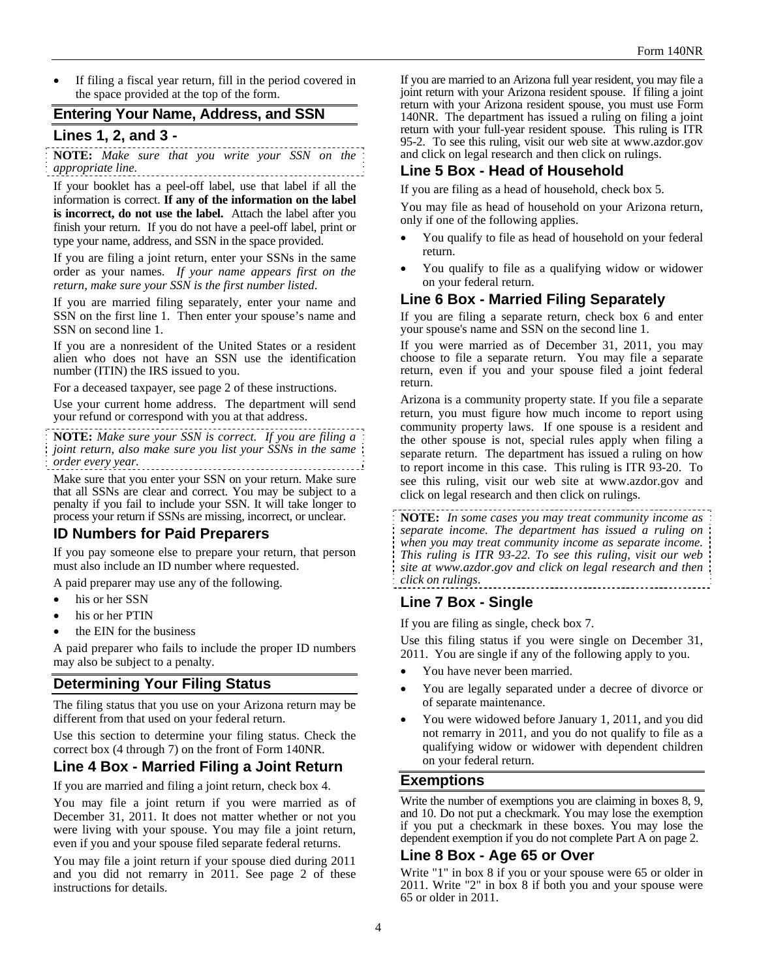If filing a fiscal year return, fill in the period covered in the space provided at the top of the form.

## **Entering Your Name, Address, and SSN**

#### **Lines 1, 2, and 3 -**

**NOTE:** *Make sure that you write your SSN on the appropriate line.*

If your booklet has a peel-off label, use that label if all the information is correct. **If any of the information on the label is incorrect, do not use the label.** Attach the label after you finish your return. If you do not have a peel-off label, print or type your name, address, and SSN in the space provided.

If you are filing a joint return, enter your SSNs in the same order as your names. *If your name appears first on the return, make sure your SSN is the first number listed*.

If you are married filing separately, enter your name and SSN on the first line 1. Then enter your spouse's name and SSN on second line 1.

If you are a nonresident of the United States or a resident alien who does not have an SSN use the identification number (ITIN) the IRS issued to you.

For a deceased taxpayer, see page 2 of these instructions.

Use your current home address. The department will send your refund or correspond with you at that address.

**NOTE:** *Make sure your SSN is correct. If you are filing a joint return, also make sure you list your SSNs in the same order every year.*  

Make sure that you enter your SSN on your return. Make sure that all SSNs are clear and correct. You may be subject to a penalty if you fail to include your SSN. It will take longer to process your return if SSNs are missing, incorrect, or unclear.

## **ID Numbers for Paid Preparers**

If you pay someone else to prepare your return, that person must also include an ID number where requested.

A paid preparer may use any of the following.

- his or her SSN
- his or her PTIN
- the EIN for the business

A paid preparer who fails to include the proper ID numbers may also be subject to a penalty.

## **Determining Your Filing Status**

The filing status that you use on your Arizona return may be different from that used on your federal return.

Use this section to determine your filing status. Check the correct box (4 through 7) on the front of Form 140NR.

## **Line 4 Box - Married Filing a Joint Return**

If you are married and filing a joint return, check box 4.

You may file a joint return if you were married as of December 31, 2011. It does not matter whether or not you were living with your spouse. You may file a joint return, even if you and your spouse filed separate federal returns.

You may file a joint return if your spouse died during 2011 and you did not remarry in 2011. See page 2 of these instructions for details.

If you are married to an Arizona full year resident, you may file a joint return with your Arizona resident spouse. If filing a joint return with your Arizona resident spouse, you must use Form 140NR. The department has issued a ruling on filing a joint return with your full-year resident spouse. This ruling is ITR 95-2. To see this ruling, visit our web site at www.azdor.gov and click on legal research and then click on rulings.

## **Line 5 Box - Head of Household**

If you are filing as a head of household, check box 5.

You may file as head of household on your Arizona return, only if one of the following applies.

- You qualify to file as head of household on your federal return.
- You qualify to file as a qualifying widow or widower on your federal return.

## **Line 6 Box - Married Filing Separately**

If you are filing a separate return, check box 6 and enter your spouse's name and SSN on the second line 1.

If you were married as of December 31, 2011, you may choose to file a separate return. You may file a separate return, even if you and your spouse filed a joint federal return.

Arizona is a community property state. If you file a separate return, you must figure how much income to report using community property laws. If one spouse is a resident and the other spouse is not, special rules apply when filing a separate return. The department has issued a ruling on how to report income in this case. This ruling is ITR 93-20. To see this ruling, visit our web site at www.azdor.gov and click on legal research and then click on rulings.

**NOTE:** *In some cases you may treat community income as separate income. The department has issued a ruling on when you may treat community income as separate income. This ruling is ITR 93-22. To see this ruling, visit our web site at www.azdor.gov and click on legal research and then click on rulings*.

# **Line 7 Box - Single**

If you are filing as single, check box 7.

Use this filing status if you were single on December 31, 2011. You are single if any of the following apply to you.

- You have never been married.
- You are legally separated under a decree of divorce or of separate maintenance.
- You were widowed before January 1, 2011, and you did not remarry in 2011, and you do not qualify to file as a qualifying widow or widower with dependent children on your federal return.

#### **Exemptions**

Write the number of exemptions you are claiming in boxes 8, 9, and 10. Do not put a checkmark. You may lose the exemption if you put a checkmark in these boxes. You may lose the dependent exemption if you do not complete Part A on page 2.

## **Line 8 Box - Age 65 or Over**

Write "1" in box 8 if you or your spouse were 65 or older in 2011. Write "2" in box 8 if both you and your spouse were 65 or older in 2011.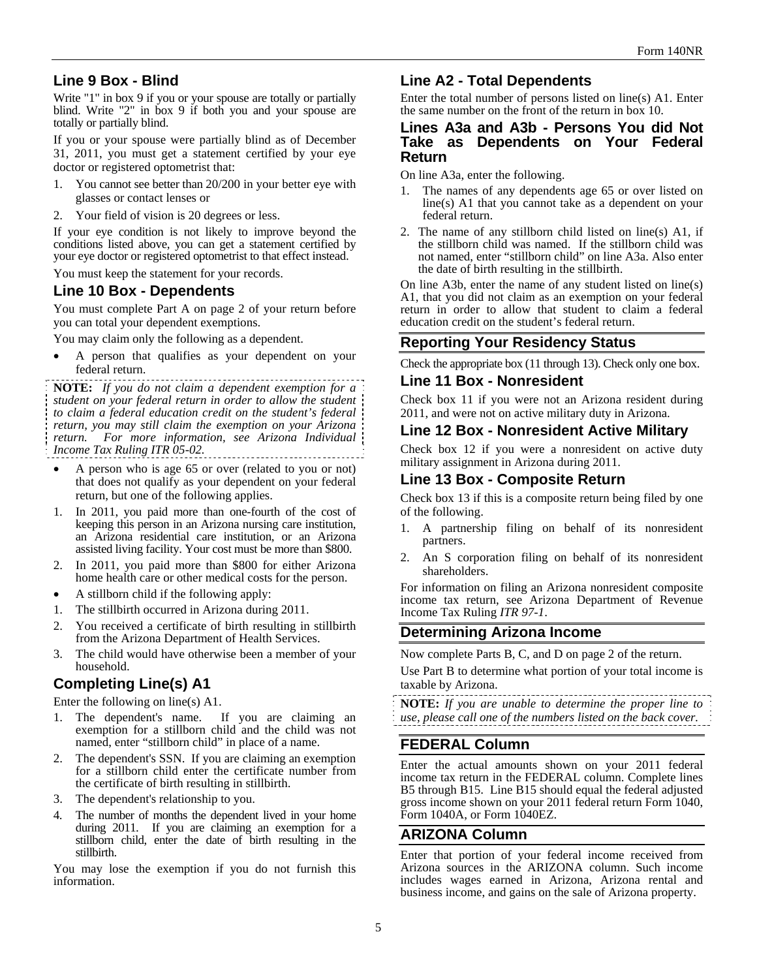# **Line 9 Box - Blind**

Write "1" in box 9 if you or your spouse are totally or partially blind. Write "2" in box 9 if both you and your spouse are totally or partially blind.

If you or your spouse were partially blind as of December 31, 2011, you must get a statement certified by your eye doctor or registered optometrist that:

- 1. You cannot see better than 20/200 in your better eye with glasses or contact lenses or
- 2. Your field of vision is 20 degrees or less.

If your eye condition is not likely to improve beyond the conditions listed above, you can get a statement certified by your eye doctor or registered optometrist to that effect instead.

You must keep the statement for your records.

## **Line 10 Box - Dependents**

You must complete Part A on page 2 of your return before you can total your dependent exemptions.

You may claim only the following as a dependent.

 A person that qualifies as your dependent on your federal return.

**NOTE:** *If you do not claim a dependent exemption for a student on your federal return in order to allow the student to claim a federal education credit on the student's federal return, you may still claim the exemption on your Arizona return. For more information, see Arizona Individual Income Tax Ruling ITR 05-02.*

- A person who is age 65 or over (related to you or not) that does not qualify as your dependent on your federal return, but one of the following applies.
- 1. In 2011, you paid more than one-fourth of the cost of keeping this person in an Arizona nursing care institution, an Arizona residential care institution, or an Arizona assisted living facility. Your cost must be more than \$800.
- 2. In 2011, you paid more than \$800 for either Arizona home health care or other medical costs for the person.
- A stillborn child if the following apply:
- 1. The stillbirth occurred in Arizona during 2011.
- 2. You received a certificate of birth resulting in stillbirth from the Arizona Department of Health Services.
- 3. The child would have otherwise been a member of your household.

# **Completing Line(s) A1**

Enter the following on line(s) A1.

- 1. The dependent's name. If you are claiming an exemption for a stillborn child and the child was not named, enter "stillborn child" in place of a name.
- 2. The dependent's SSN. If you are claiming an exemption for a stillborn child enter the certificate number from the certificate of birth resulting in stillbirth.
- 3. The dependent's relationship to you.
- 4. The number of months the dependent lived in your home during 2011. If you are claiming an exemption for a stillborn child, enter the date of birth resulting in the stillbirth.

You may lose the exemption if you do not furnish this information.

## **Line A2 - Total Dependents**

Enter the total number of persons listed on line(s) A1. Enter the same number on the front of the return in box 10.

## **Lines A3a and A3b - Persons You did Not Take as Dependents on Your Federal Return**

On line A3a, enter the following.

- 1. The names of any dependents age 65 or over listed on line(s) A1 that you cannot take as a dependent on your federal return.
- 2. The name of any stillborn child listed on line(s) A1, if the stillborn child was named. If the stillborn child was not named, enter "stillborn child" on line A3a. Also enter the date of birth resulting in the stillbirth.

On line A3b, enter the name of any student listed on line(s) A1, that you did not claim as an exemption on your federal return in order to allow that student to claim a federal education credit on the student's federal return.

# **Reporting Your Residency Status**

Check the appropriate box (11 through 13). Check only one box.

## **Line 11 Box - Nonresident**

Check box 11 if you were not an Arizona resident during 2011, and were not on active military duty in Arizona.

## **Line 12 Box - Nonresident Active Military**

Check box 12 if you were a nonresident on active duty military assignment in Arizona during 2011.

## **Line 13 Box - Composite Return**

Check box 13 if this is a composite return being filed by one of the following.

- 1. A partnership filing on behalf of its nonresident partners.
- 2. An S corporation filing on behalf of its nonresident shareholders.

For information on filing an Arizona nonresident composite income tax return, see Arizona Department of Revenue Income Tax Ruling *ITR 97-1*.

## **Determining Arizona Income**

Now complete Parts B, C, and D on page 2 of the return.

Use Part B to determine what portion of your total income is taxable by Arizona.

**NOTE:** *If you are unable to determine the proper line to use, please call one of the numbers listed on the back cover.* 

# **FEDERAL Column**

Enter the actual amounts shown on your 2011 federal income tax return in the FEDERAL column. Complete lines B5 through B15. Line B15 should equal the federal adjusted gross income shown on your 2011 federal return Form 1040, Form 1040A, or Form 1040EZ.

## **ARIZONA Column**

Enter that portion of your federal income received from Arizona sources in the ARIZONA column. Such income includes wages earned in Arizona, Arizona rental and business income, and gains on the sale of Arizona property.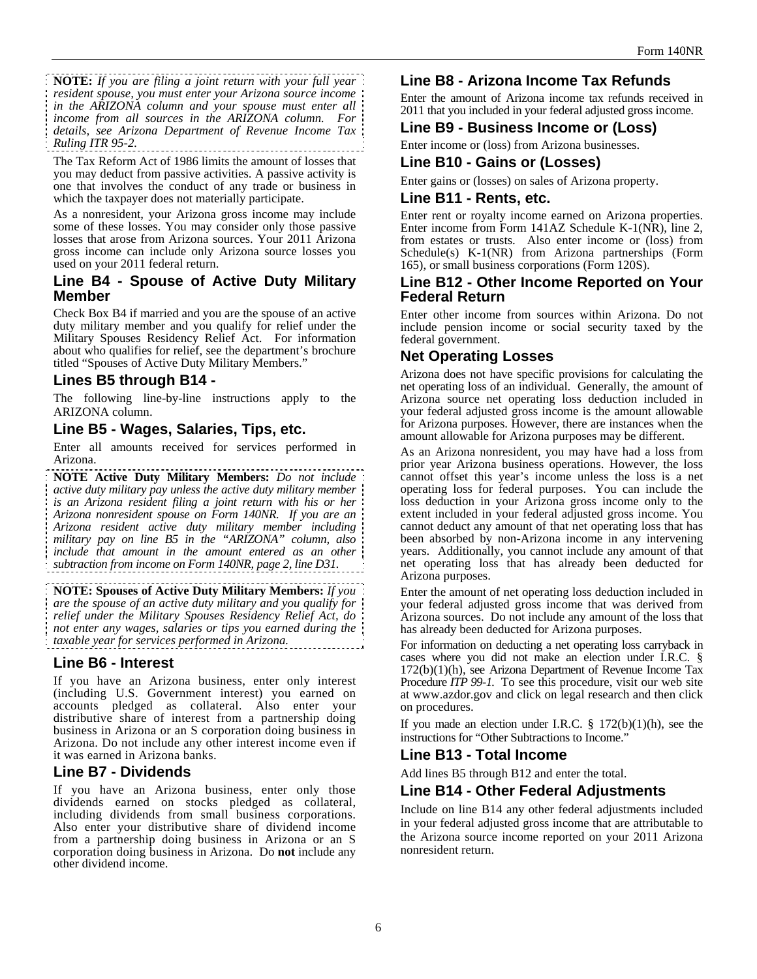**NOTE:** *If you are filing a joint return with your full year resident spouse, you must enter your Arizona source income in the ARIZONA column and your spouse must enter all income from all sources in the ARIZONA column. For details, see Arizona Department of Revenue Income Tax Ruling ITR 95-2.*

The Tax Reform Act of 1986 limits the amount of losses that you may deduct from passive activities. A passive activity is one that involves the conduct of any trade or business in which the taxpayer does not materially participate.

As a nonresident, your Arizona gross income may include some of these losses. You may consider only those passive losses that arose from Arizona sources. Your 2011 Arizona gross income can include only Arizona source losses you used on your 2011 federal return.

## **Line B4 - Spouse of Active Duty Military Member**

Check Box B4 if married and you are the spouse of an active duty military member and you qualify for relief under the Military Spouses Residency Relief Act. For information about who qualifies for relief, see the department's brochure titled "Spouses of Active Duty Military Members."

# **Lines B5 through B14 -**

The following line-by-line instructions apply to the ARIZONA column.

## **Line B5 - Wages, Salaries, Tips, etc.**

Enter all amounts received for services performed in Arizona.

**NOTE Active Duty Military Members:** *Do not include active duty military pay unless the active duty military member is an Arizona resident filing a joint return with his or her Arizona nonresident spouse on Form 140NR. If you are an Arizona resident active duty military member including military pay on line B5 in the "ARIZONA" column, also include that amount in the amount entered as an other subtraction from income on Form 140NR, page 2, line D31.* 

**NOTE: Spouses of Active Duty Military Members:** *If you are the spouse of an active duty military and you qualify for relief under the Military Spouses Residency Relief Act, do not enter any wages, salaries or tips you earned during the taxable year for services performed in Arizona.*

## **Line B6 - Interest**

If you have an Arizona business, enter only interest (including U.S. Government interest) you earned on accounts pledged as collateral. Also enter your distributive share of interest from a partnership doing business in Arizona or an S corporation doing business in Arizona. Do not include any other interest income even if it was earned in Arizona banks.

## **Line B7 - Dividends**

If you have an Arizona business, enter only those dividends earned on stocks pledged as collateral, including dividends from small business corporations. Also enter your distributive share of dividend income from a partnership doing business in Arizona or an S corporation doing business in Arizona. Do **not** include any other dividend income.

# **Line B8 - Arizona Income Tax Refunds**

Enter the amount of Arizona income tax refunds received in 2011 that you included in your federal adjusted gross income.

# **Line B9 - Business Income or (Loss)**

Enter income or (loss) from Arizona businesses.

## **Line B10 - Gains or (Losses)**

Enter gains or (losses) on sales of Arizona property.

#### **Line B11 - Rents, etc.**

Enter rent or royalty income earned on Arizona properties. Enter income from Form 141AZ Schedule K-1(NR), line 2, from estates or trusts. Also enter income or (loss) from Schedule(s) K-1(NR) from Arizona partnerships (Form 165), or small business corporations (Form 120S).

#### **Line B12 - Other Income Reported on Your Federal Return**

Enter other income from sources within Arizona. Do not include pension income or social security taxed by the federal government.

# **Net Operating Losses**

Arizona does not have specific provisions for calculating the net operating loss of an individual. Generally, the amount of Arizona source net operating loss deduction included in your federal adjusted gross income is the amount allowable for Arizona purposes. However, there are instances when the amount allowable for Arizona purposes may be different.

As an Arizona nonresident, you may have had a loss from prior year Arizona business operations. However, the loss cannot offset this year's income unless the loss is a net operating loss for federal purposes. You can include the loss deduction in your Arizona gross income only to the extent included in your federal adjusted gross income. You cannot deduct any amount of that net operating loss that has been absorbed by non-Arizona income in any intervening years. Additionally, you cannot include any amount of that net operating loss that has already been deducted for Arizona purposes.

Enter the amount of net operating loss deduction included in your federal adjusted gross income that was derived from Arizona sources. Do not include any amount of the loss that has already been deducted for Arizona purposes.

For information on deducting a net operating loss carryback in cases where you did not make an election under I.R.C. § 172(b)(1)(h), see Arizona Department of Revenue Income Tax Procedure *ITP 99-1.* To see this procedure, visit our web site at www.azdor.gov and click on legal research and then click on procedures.

If you made an election under I.R.C.  $\S$  172(b)(1)(h), see the instructions for "Other Subtractions to Income."

# **Line B13 - Total Income**

Add lines B5 through B12 and enter the total.

## **Line B14 - Other Federal Adjustments**

Include on line B14 any other federal adjustments included in your federal adjusted gross income that are attributable to the Arizona source income reported on your 2011 Arizona nonresident return.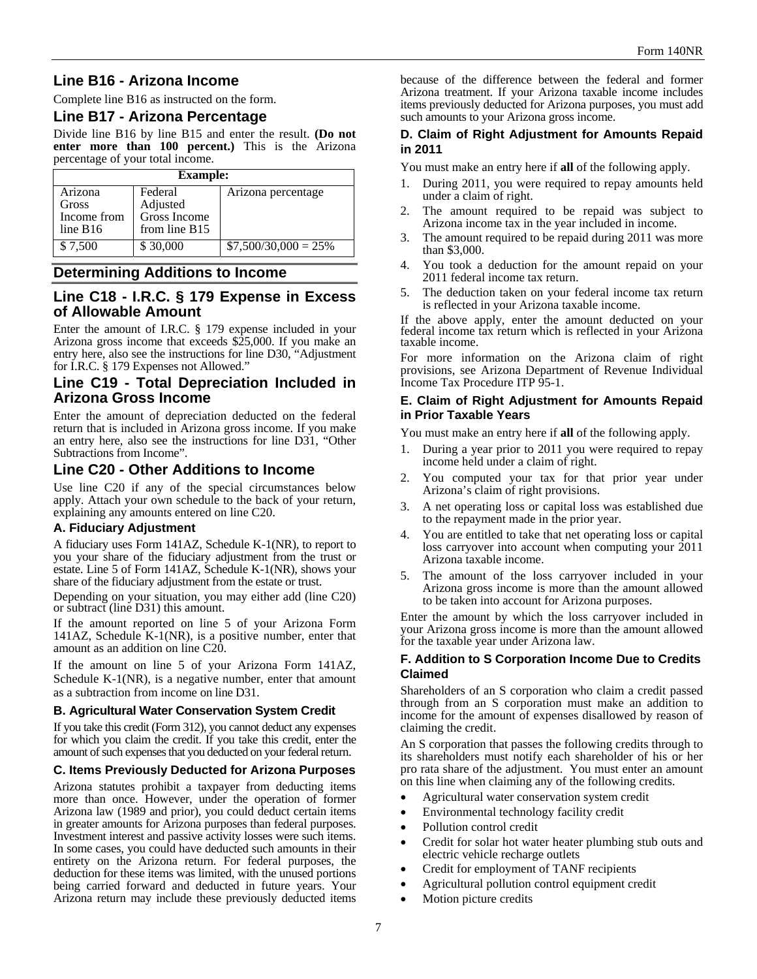# **Line B16 - Arizona Income**

Complete line B16 as instructed on the form.

## **Line B17 - Arizona Percentage**

Divide line B16 by line B15 and enter the result. **(Do not enter more than 100 percent.)** This is the Arizona percentage of your total income.

| <b>Example:</b>                             |                                                        |                        |
|---------------------------------------------|--------------------------------------------------------|------------------------|
| Arizona<br>Gross<br>Income from<br>line B16 | Federal<br>Adjusted<br>Gross Income<br>from line $B15$ | Arizona percentage     |
| \$7,500                                     | \$30,000                                               | $$7,500/30,000 = 25\%$ |

## **Determining Additions to Income**

## **Line C18 - I.R.C. § 179 Expense in Excess of Allowable Amount**

Enter the amount of I.R.C. § 179 expense included in your Arizona gross income that exceeds \$25,000. If you make an entry here, also see the instructions for line D30, "Adjustment for I.R.C. § 179 Expenses not Allowed."

## **Line C19 - Total Depreciation Included in Arizona Gross Income**

Enter the amount of depreciation deducted on the federal return that is included in Arizona gross income. If you make an entry here, also see the instructions for line D31, "Other Subtractions from Income".

# **Line C20 - Other Additions to Income**

Use line C20 if any of the special circumstances below apply. Attach your own schedule to the back of your return, explaining any amounts entered on line C20.

#### **A. Fiduciary Adjustment**

A fiduciary uses Form 141AZ, Schedule K-1(NR), to report to you your share of the fiduciary adjustment from the trust or estate. Line 5 of Form 141AZ, Schedule K-1(NR), shows your share of the fiduciary adjustment from the estate or trust.

Depending on your situation, you may either add (line C20) or subtract (line D31) this amount.

If the amount reported on line 5 of your Arizona Form 141AZ, Schedule K-1(NR), is a positive number, enter that amount as an addition on line C20.

If the amount on line 5 of your Arizona Form 141AZ, Schedule K-1(NR), is a negative number, enter that amount as a subtraction from income on line D31.

#### **B. Agricultural Water Conservation System Credit**

If you take this credit (Form 312), you cannot deduct any expenses for which you claim the credit. If you take this credit, enter the amount of such expenses that you deducted on your federal return.

#### **C. Items Previously Deducted for Arizona Purposes**

Arizona statutes prohibit a taxpayer from deducting items more than once. However, under the operation of former Arizona law (1989 and prior), you could deduct certain items in greater amounts for Arizona purposes than federal purposes. Investment interest and passive activity losses were such items. In some cases, you could have deducted such amounts in their entirety on the Arizona return. For federal purposes, the deduction for these items was limited, with the unused portions being carried forward and deducted in future years. Your Arizona return may include these previously deducted items because of the difference between the federal and former Arizona treatment. If your Arizona taxable income includes items previously deducted for Arizona purposes, you must add such amounts to your Arizona gross income.

#### **D. Claim of Right Adjustment for Amounts Repaid in 2011**

You must make an entry here if **all** of the following apply.

- 1. During 2011, you were required to repay amounts held under a claim of right.
- 2. The amount required to be repaid was subject to Arizona income tax in the year included in income.
- 3. The amount required to be repaid during 2011 was more than \$3,000.
- 4. You took a deduction for the amount repaid on your 2011 federal income tax return.
- 5. The deduction taken on your federal income tax return is reflected in your Arizona taxable income.

If the above apply, enter the amount deducted on your federal income tax return which is reflected in your Arizona taxable income.

For more information on the Arizona claim of right provisions, see Arizona Department of Revenue Individual Income Tax Procedure ITP 95-1.

#### **E. Claim of Right Adjustment for Amounts Repaid in Prior Taxable Years**

You must make an entry here if **all** of the following apply.

- 1. During a year prior to 2011 you were required to repay income held under a claim of right.
- 2. You computed your tax for that prior year under Arizona's claim of right provisions.
- 3. A net operating loss or capital loss was established due to the repayment made in the prior year.
- 4. You are entitled to take that net operating loss or capital loss carryover into account when computing your 2011 Arizona taxable income.
- 5. The amount of the loss carryover included in your Arizona gross income is more than the amount allowed to be taken into account for Arizona purposes.

Enter the amount by which the loss carryover included in your Arizona gross income is more than the amount allowed for the taxable year under Arizona law.

#### **F. Addition to S Corporation Income Due to Credits Claimed**

Shareholders of an S corporation who claim a credit passed through from an S corporation must make an addition to income for the amount of expenses disallowed by reason of claiming the credit.

An S corporation that passes the following credits through to its shareholders must notify each shareholder of his or her pro rata share of the adjustment. You must enter an amount on this line when claiming any of the following credits.

- Agricultural water conservation system credit
- Environmental technology facility credit
- Pollution control credit
- Credit for solar hot water heater plumbing stub outs and electric vehicle recharge outlets
- Credit for employment of TANF recipients
- Agricultural pollution control equipment credit
- Motion picture credits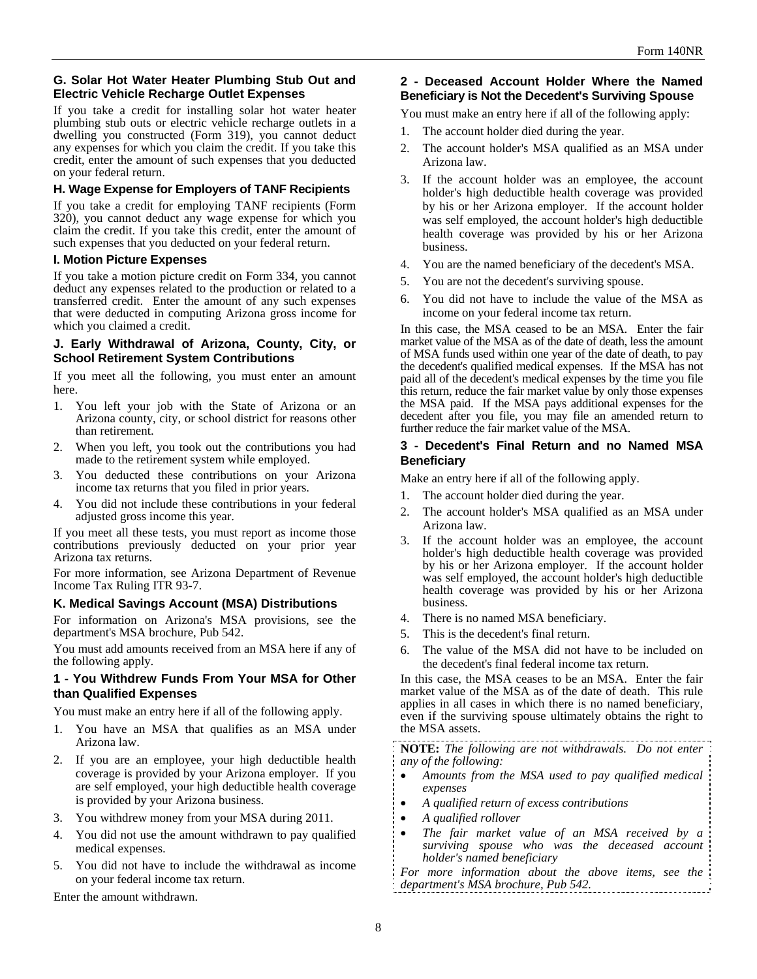#### **G. Solar Hot Water Heater Plumbing Stub Out and Electric Vehicle Recharge Outlet Expenses**

If you take a credit for installing solar hot water heater plumbing stub outs or electric vehicle recharge outlets in a dwelling you constructed (Form 319), you cannot deduct any expenses for which you claim the credit. If you take this credit, enter the amount of such expenses that you deducted on your federal return.

#### **H. Wage Expense for Employers of TANF Recipients**

If you take a credit for employing TANF recipients (Form 320), you cannot deduct any wage expense for which you claim the credit. If you take this credit, enter the amount of such expenses that you deducted on your federal return.

#### **I. Motion Picture Expenses**

If you take a motion picture credit on Form 334, you cannot deduct any expenses related to the production or related to a transferred credit. Enter the amount of any such expenses that were deducted in computing Arizona gross income for which you claimed a credit.

#### **J. Early Withdrawal of Arizona, County, City, or School Retirement System Contributions**

If you meet all the following, you must enter an amount here.

- 1. You left your job with the State of Arizona or an Arizona county, city, or school district for reasons other than retirement.
- 2. When you left, you took out the contributions you had made to the retirement system while employed.
- 3. You deducted these contributions on your Arizona income tax returns that you filed in prior years.
- 4. You did not include these contributions in your federal adjusted gross income this year.

If you meet all these tests, you must report as income those contributions previously deducted on your prior year Arizona tax returns.

For more information, see Arizona Department of Revenue Income Tax Ruling ITR 93-7.

#### **K. Medical Savings Account (MSA) Distributions**

For information on Arizona's MSA provisions, see the department's MSA brochure, Pub 542.

You must add amounts received from an MSA here if any of the following apply.

#### **1 - You Withdrew Funds From Your MSA for Other than Qualified Expenses**

You must make an entry here if all of the following apply.

- 1. You have an MSA that qualifies as an MSA under Arizona law.
- 2. If you are an employee, your high deductible health coverage is provided by your Arizona employer. If you are self employed, your high deductible health coverage is provided by your Arizona business.
- 3. You withdrew money from your MSA during 2011.
- 4. You did not use the amount withdrawn to pay qualified medical expenses.
- 5. You did not have to include the withdrawal as income on your federal income tax return.

Enter the amount withdrawn.

#### **2 - Deceased Account Holder Where the Named Beneficiary is Not the Decedent's Surviving Spouse**

You must make an entry here if all of the following apply:

- 1. The account holder died during the year.
- 2. The account holder's MSA qualified as an MSA under Arizona law.
- 3. If the account holder was an employee, the account holder's high deductible health coverage was provided by his or her Arizona employer. If the account holder was self employed, the account holder's high deductible health coverage was provided by his or her Arizona business.
- 4. You are the named beneficiary of the decedent's MSA.
- 5. You are not the decedent's surviving spouse.
- 6. You did not have to include the value of the MSA as income on your federal income tax return.

In this case, the MSA ceased to be an MSA. Enter the fair market value of the MSA as of the date of death, less the amount of MSA funds used within one year of the date of death, to pay the decedent's qualified medical expenses. If the MSA has not paid all of the decedent's medical expenses by the time you file this return, reduce the fair market value by only those expenses the MSA paid. If the MSA pays additional expenses for the decedent after you file, you may file an amended return to further reduce the fair market value of the MSA.

#### **3 - Decedent's Final Return and no Named MSA Beneficiary**

Make an entry here if all of the following apply.

- 1. The account holder died during the year.
- 2. The account holder's MSA qualified as an MSA under Arizona law.
- 3. If the account holder was an employee, the account holder's high deductible health coverage was provided by his or her Arizona employer. If the account holder was self employed, the account holder's high deductible health coverage was provided by his or her Arizona business.
- 4. There is no named MSA beneficiary.
- 5. This is the decedent's final return.
- 6. The value of the MSA did not have to be included on the decedent's final federal income tax return.

In this case, the MSA ceases to be an MSA. Enter the fair market value of the MSA as of the date of death. This rule applies in all cases in which there is no named beneficiary, even if the surviving spouse ultimately obtains the right to the MSA assets.

**NOTE:** *The following are not withdrawals. Do not enter any of the following:* 

- *Amounts from the MSA used to pay qualified medical expenses*
- *A qualified return of excess contributions*
- *A qualified rollover*
- *The fair market value of an MSA received by a surviving spouse who was the deceased account holder's named beneficiary*
- *For more information about the above items, see the department's MSA brochure, Pub 542.*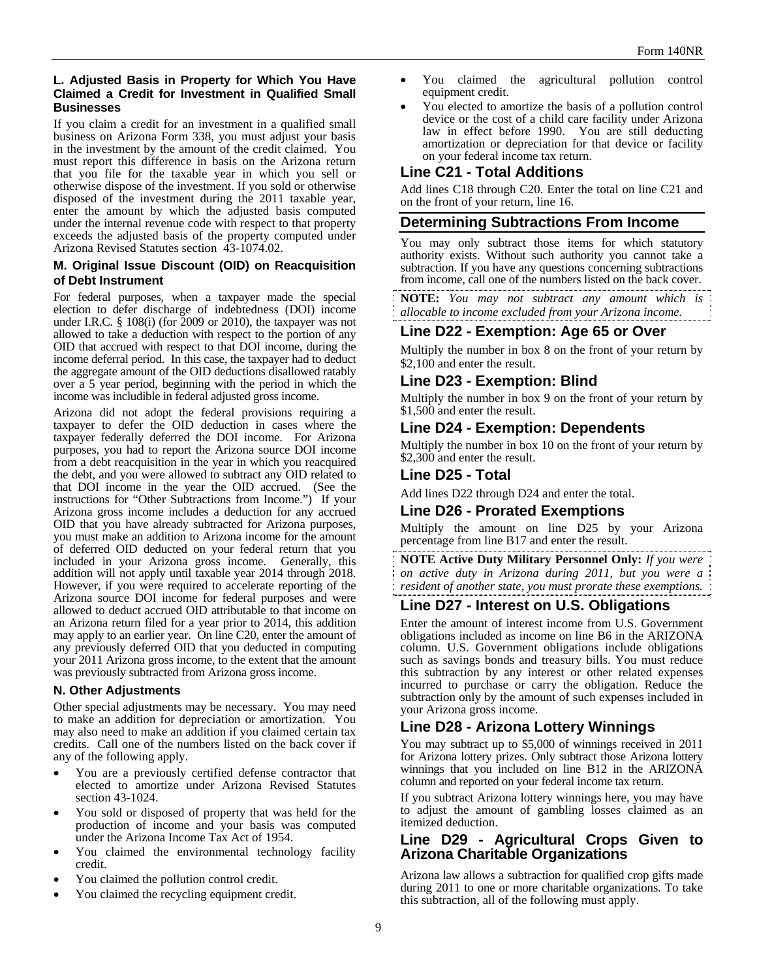#### **L. Adjusted Basis in Property for Which You Have Claimed a Credit for Investment in Qualified Small Businesses**

If you claim a credit for an investment in a qualified small business on Arizona Form 338, you must adjust your basis in the investment by the amount of the credit claimed. You must report this difference in basis on the Arizona return that you file for the taxable year in which you sell or otherwise dispose of the investment. If you sold or otherwise disposed of the investment during the 2011 taxable year, enter the amount by which the adjusted basis computed under the internal revenue code with respect to that property exceeds the adjusted basis of the property computed under Arizona Revised Statutes section 43-1074.02.

#### **M. Original Issue Discount (OID) on Reacquisition of Debt Instrument**

For federal purposes, when a taxpayer made the special election to defer discharge of indebtedness (DOI) income under I.R.C. § 108(i) (for 2009 or 2010), the taxpayer was not allowed to take a deduction with respect to the portion of any OID that accrued with respect to that DOI income, during the income deferral period. In this case, the taxpayer had to deduct the aggregate amount of the OID deductions disallowed ratably over a 5 year period, beginning with the period in which the income was includible in federal adjusted gross income.

Arizona did not adopt the federal provisions requiring a taxpayer to defer the OID deduction in cases where the taxpayer federally deferred the DOI income. For Arizona purposes, you had to report the Arizona source DOI income from a debt reacquisition in the year in which you reacquired the debt, and you were allowed to subtract any OID related to that DOI income in the year the OID accrued. (See the instructions for "Other Subtractions from Income.") If your Arizona gross income includes a deduction for any accrued OID that you have already subtracted for Arizona purposes, you must make an addition to Arizona income for the amount of deferred OID deducted on your federal return that you included in your Arizona gross income. Generally, this addition will not apply until taxable year 2014 through 2018. However, if you were required to accelerate reporting of the Arizona source DOI income for federal purposes and were allowed to deduct accrued OID attributable to that income on an Arizona return filed for a year prior to 2014, this addition may apply to an earlier year. On line C20, enter the amount of any previously deferred OID that you deducted in computing your 2011 Arizona gross income, to the extent that the amount was previously subtracted from Arizona gross income.

#### **N. Other Adjustments**

Other special adjustments may be necessary. You may need to make an addition for depreciation or amortization. You may also need to make an addition if you claimed certain tax credits. Call one of the numbers listed on the back cover if any of the following apply.

- You are a previously certified defense contractor that elected to amortize under Arizona Revised Statutes section 43-1024.
- You sold or disposed of property that was held for the production of income and your basis was computed under the Arizona Income Tax Act of 1954.
- You claimed the environmental technology facility credit.
- You claimed the pollution control credit.
- You claimed the recycling equipment credit.
- You claimed the agricultural pollution control equipment credit.
- You elected to amortize the basis of a pollution control device or the cost of a child care facility under Arizona law in effect before 1990. You are still deducting amortization or depreciation for that device or facility on your federal income tax return.

## **Line C21 - Total Additions**

Add lines C18 through C20. Enter the total on line C21 and on the front of your return, line 16.

## **Determining Subtractions From Income**

You may only subtract those items for which statutory authority exists. Without such authority you cannot take a subtraction. If you have any questions concerning subtractions from income, call one of the numbers listed on the back cover.

**NOTE:** *You may not subtract any amount which is allocable to income excluded from your Arizona income.* 

# **Line D22 - Exemption: Age 65 or Over**

Multiply the number in box 8 on the front of your return by \$2,100 and enter the result.

# **Line D23 - Exemption: Blind**

Multiply the number in box 9 on the front of your return by \$1,500 and enter the result.

## **Line D24 - Exemption: Dependents**

Multiply the number in box 10 on the front of your return by \$2,300 and enter the result.

## **Line D25 - Total**

Add lines D22 through D24 and enter the total.

## **Line D26 - Prorated Exemptions**

Multiply the amount on line D25 by your Arizona percentage from line B17 and enter the result.

**NOTE Active Duty Military Personnel Only:** *If you were on active duty in Arizona during 2011, but you were a resident of another state, you must prorate these exemptions.* 

## **Line D27 - Interest on U.S. Obligations**

Enter the amount of interest income from U.S. Government obligations included as income on line B6 in the ARIZONA column. U.S. Government obligations include obligations such as savings bonds and treasury bills. You must reduce this subtraction by any interest or other related expenses incurred to purchase or carry the obligation. Reduce the subtraction only by the amount of such expenses included in your Arizona gross income.

# **Line D28 - Arizona Lottery Winnings**

You may subtract up to \$5,000 of winnings received in 2011 for Arizona lottery prizes. Only subtract those Arizona lottery winnings that you included on line B12 in the ARIZONA column and reported on your federal income tax return.

If you subtract Arizona lottery winnings here, you may have to adjust the amount of gambling losses claimed as an itemized deduction.

## **Line D29 - Agricultural Crops Given to Arizona Charitable Organizations**

Arizona law allows a subtraction for qualified crop gifts made during 2011 to one or more charitable organizations. To take this subtraction, all of the following must apply.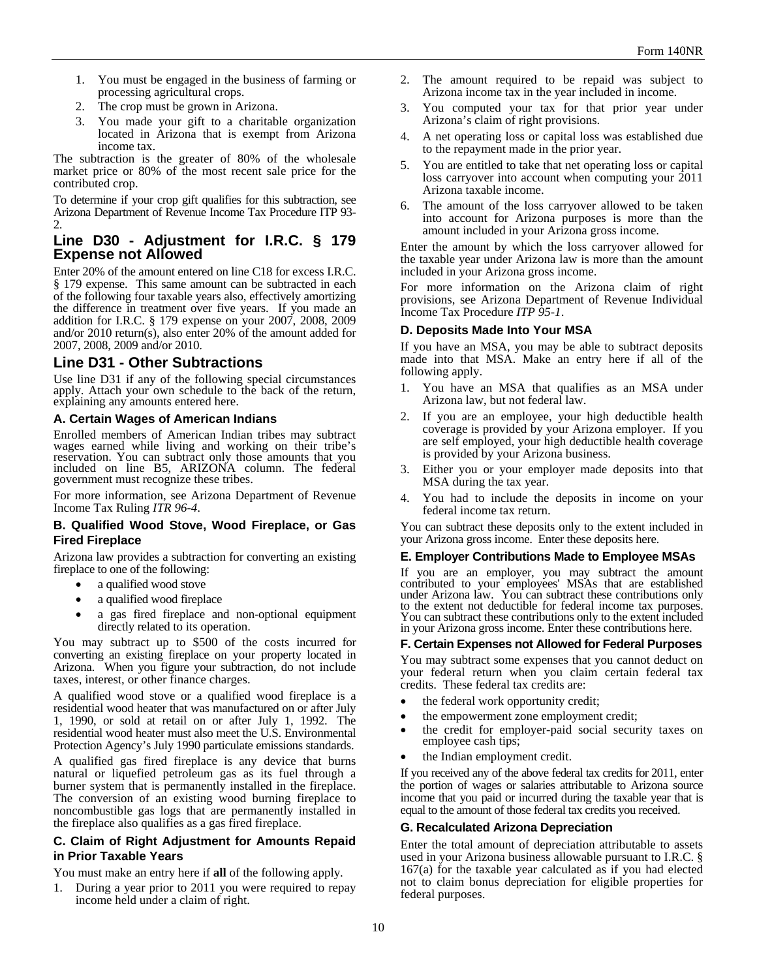- 1. You must be engaged in the business of farming or processing agricultural crops.
- 2. The crop must be grown in Arizona.
- 3. You made your gift to a charitable organization located in Arizona that is exempt from Arizona income tax.

The subtraction is the greater of 80% of the wholesale market price or 80% of the most recent sale price for the contributed crop.

To determine if your crop gift qualifies for this subtraction, see Arizona Department of Revenue Income Tax Procedure ITP 93- 2.

## **Line D30 - Adjustment for I.R.C. § 179 Expense not Allowed**

Enter 20% of the amount entered on line C18 for excess I.R.C. § 179 expense. This same amount can be subtracted in each of the following four taxable years also, effectively amortizing the difference in treatment over five years. If you made an addition for I.R.C. § 179 expense on your 2007, 2008, 2009 and/or 2010 return(s), also enter 20% of the amount added for 2007, 2008, 2009 and/or 2010.

## **Line D31 - Other Subtractions**

Use line D31 if any of the following special circumstances apply. Attach your own schedule to the back of the return, explaining any amounts entered here.

#### **A. Certain Wages of American Indians**

Enrolled members of American Indian tribes may subtract wages earned while living and working on their tribe's reservation. You can subtract only those amounts that you included on line B5, ARIZONA column. The federal government must recognize these tribes.

For more information, see Arizona Department of Revenue Income Tax Ruling *ITR 96-4*.

#### **B. Qualified Wood Stove, Wood Fireplace, or Gas Fired Fireplace**

Arizona law provides a subtraction for converting an existing fireplace to one of the following:

- a qualified wood stove
- a qualified wood fireplace
- a gas fired fireplace and non-optional equipment directly related to its operation.

You may subtract up to \$500 of the costs incurred for converting an existing fireplace on your property located in Arizona. When you figure your subtraction, do not include taxes, interest, or other finance charges.

A qualified wood stove or a qualified wood fireplace is a residential wood heater that was manufactured on or after July 1, 1990, or sold at retail on or after July 1, 1992. The residential wood heater must also meet the U.S. Environmental Protection Agency's July 1990 particulate emissions standards.

A qualified gas fired fireplace is any device that burns natural or liquefied petroleum gas as its fuel through a burner system that is permanently installed in the fireplace. The conversion of an existing wood burning fireplace to noncombustible gas logs that are permanently installed in the fireplace also qualifies as a gas fired fireplace.

#### **C. Claim of Right Adjustment for Amounts Repaid in Prior Taxable Years**

You must make an entry here if **all** of the following apply.

1. During a year prior to 2011 you were required to repay income held under a claim of right.

- 2. The amount required to be repaid was subject to Arizona income tax in the year included in income.
- 3. You computed your tax for that prior year under Arizona's claim of right provisions.
- 4. A net operating loss or capital loss was established due to the repayment made in the prior year.
- 5. You are entitled to take that net operating loss or capital loss carryover into account when computing your 2011 Arizona taxable income.
- 6. The amount of the loss carryover allowed to be taken into account for Arizona purposes is more than the amount included in your Arizona gross income.

Enter the amount by which the loss carryover allowed for the taxable year under Arizona law is more than the amount included in your Arizona gross income.

For more information on the Arizona claim of right provisions, see Arizona Department of Revenue Individual Income Tax Procedure *ITP 95-1*.

# **D. Deposits Made Into Your MSA**

If you have an MSA, you may be able to subtract deposits made into that MSA. Make an entry here if all of the following apply.

- You have an MSA that qualifies as an MSA under Arizona law, but not federal law.
- 2. If you are an employee, your high deductible health coverage is provided by your Arizona employer. If you are self employed, your high deductible health coverage is provided by your Arizona business.
- 3. Either you or your employer made deposits into that MSA during the tax year.
- 4. You had to include the deposits in income on your federal income tax return.

You can subtract these deposits only to the extent included in your Arizona gross income. Enter these deposits here.

#### **E. Employer Contributions Made to Employee MSAs**

If you are an employer, you may subtract the amount contributed to your employees' MSAs that are established under Arizona law. You can subtract these contributions only to the extent not deductible for federal income tax purposes. You can subtract these contributions only to the extent included in your Arizona gross income. Enter these contributions here.

#### **F. Certain Expenses not Allowed for Federal Purposes**

You may subtract some expenses that you cannot deduct on your federal return when you claim certain federal tax credits. These federal tax credits are:

- the federal work opportunity credit;
- the empowerment zone employment credit;
- the credit for employer-paid social security taxes on employee cash tips;
- the Indian employment credit.

If you received any of the above federal tax credits for 2011, enter the portion of wages or salaries attributable to Arizona source income that you paid or incurred during the taxable year that is equal to the amount of those federal tax credits you received.

#### **G. Recalculated Arizona Depreciation**

Enter the total amount of depreciation attributable to assets used in your Arizona business allowable pursuant to I.R.C. § 167(a) for the taxable year calculated as if you had elected not to claim bonus depreciation for eligible properties for federal purposes.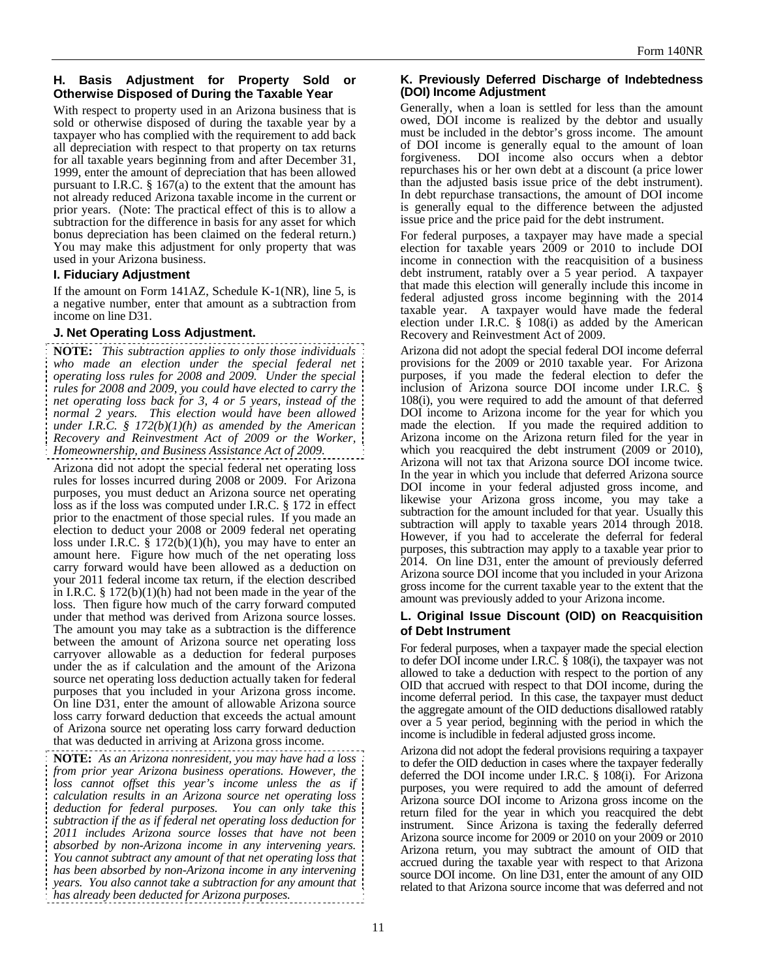#### **H. Basis Adjustment for Property Sold or Otherwise Disposed of During the Taxable Year**

With respect to property used in an Arizona business that is sold or otherwise disposed of during the taxable year by a taxpayer who has complied with the requirement to add back all depreciation with respect to that property on tax returns for all taxable years beginning from and after December 31, 1999, enter the amount of depreciation that has been allowed pursuant to I.R.C.  $\S 167(a)$  to the extent that the amount has not already reduced Arizona taxable income in the current or prior years. (Note: The practical effect of this is to allow a subtraction for the difference in basis for any asset for which bonus depreciation has been claimed on the federal return.) You may make this adjustment for only property that was used in your Arizona business.

#### **I. Fiduciary Adjustment**

If the amount on Form 141AZ, Schedule K-1(NR), line 5, is a negative number, enter that amount as a subtraction from income on line D31.

#### **J. Net Operating Loss Adjustment.**

**NOTE:** *This subtraction applies to only those individuals who made an election under the special federal net operating loss rules for 2008 and 2009. Under the special rules for 2008 and 2009, you could have elected to carry the net operating loss back for 3, 4 or 5 years, instead of the normal 2 years. This election would have been allowed under I.R.C. § 172(b)(1)(h) as amended by the American Recovery and Reinvestment Act of 2009 or the Worker, Homeownership, and Business Assistance Act of 2009.* 

Arizona did not adopt the special federal net operating loss rules for losses incurred during 2008 or 2009. For Arizona purposes, you must deduct an Arizona source net operating loss as if the loss was computed under I.R.C. § 172 in effect prior to the enactment of those special rules. If you made an election to deduct your 2008 or 2009 federal net operating loss under I.R.C.  $\S$  172(b)(1)(h), you may have to enter an amount here. Figure how much of the net operating loss carry forward would have been allowed as a deduction on your 2011 federal income tax return, if the election described in I.R.C.  $\S 172(b)(1)(h)$  had not been made in the year of the loss. Then figure how much of the carry forward computed under that method was derived from Arizona source losses. The amount you may take as a subtraction is the difference between the amount of Arizona source net operating loss carryover allowable as a deduction for federal purposes under the as if calculation and the amount of the Arizona source net operating loss deduction actually taken for federal purposes that you included in your Arizona gross income. On line D31, enter the amount of allowable Arizona source loss carry forward deduction that exceeds the actual amount of Arizona source net operating loss carry forward deduction that was deducted in arriving at Arizona gross income.

**NOTE:** *As an Arizona nonresident, you may have had a loss from prior year Arizona business operations. However, the loss cannot offset this year's income unless the as if calculation results in an Arizona source net operating loss deduction for federal purposes. You can only take this subtraction if the as if federal net operating loss deduction for 2011 includes Arizona source losses that have not been absorbed by non-Arizona income in any intervening years. You cannot subtract any amount of that net operating loss that has been absorbed by non-Arizona income in any intervening years. You also cannot take a subtraction for any amount that has already been deducted for Arizona purposes.* 

#### **K. Previously Deferred Discharge of Indebtedness (DOI) Income Adjustment**

Generally, when a loan is settled for less than the amount owed, DOI income is realized by the debtor and usually must be included in the debtor's gross income. The amount of DOI income is generally equal to the amount of loan forgiveness. DOI income also occurs when a debtor repurchases his or her own debt at a discount (a price lower than the adjusted basis issue price of the debt instrument). In debt repurchase transactions, the amount of DOI income is generally equal to the difference between the adjusted issue price and the price paid for the debt instrument.

For federal purposes, a taxpayer may have made a special election for taxable years 2009 or 2010 to include DOI income in connection with the reacquisition of a business debt instrument, ratably over a 5 year period. A taxpayer that made this election will generally include this income in federal adjusted gross income beginning with the 2014 taxable year. A taxpayer would have made the federal election under I.R.C. § 108(i) as added by the American Recovery and Reinvestment Act of 2009.

Arizona did not adopt the special federal DOI income deferral provisions for the 2009 or 2010 taxable year. For Arizona purposes, if you made the federal election to defer the inclusion of Arizona source DOI income under I.R.C. § 108(i), you were required to add the amount of that deferred DOI income to Arizona income for the year for which you made the election. If you made the required addition to Arizona income on the Arizona return filed for the year in which you reacquired the debt instrument (2009 or 2010), Arizona will not tax that Arizona source DOI income twice. In the year in which you include that deferred Arizona source DOI income in your federal adjusted gross income, and likewise your Arizona gross income, you may take a subtraction for the amount included for that year. Usually this subtraction will apply to taxable years 2014 through 2018. However, if you had to accelerate the deferral for federal purposes, this subtraction may apply to a taxable year prior to 2014. On line D31, enter the amount of previously deferred Arizona source DOI income that you included in your Arizona gross income for the current taxable year to the extent that the amount was previously added to your Arizona income.

#### **L. Original Issue Discount (OID) on Reacquisition of Debt Instrument**

For federal purposes, when a taxpayer made the special election to defer DOI income under I.R.C. § 108(i), the taxpayer was not allowed to take a deduction with respect to the portion of any OID that accrued with respect to that DOI income, during the income deferral period. In this case, the taxpayer must deduct the aggregate amount of the OID deductions disallowed ratably over a 5 year period, beginning with the period in which the income is includible in federal adjusted gross income.

Arizona did not adopt the federal provisions requiring a taxpayer to defer the OID deduction in cases where the taxpayer federally deferred the DOI income under I.R.C. § 108(i). For Arizona purposes, you were required to add the amount of deferred Arizona source DOI income to Arizona gross income on the return filed for the year in which you reacquired the debt instrument. Since Arizona is taxing the federally deferred Arizona source income for 2009 or 2010 on your 2009 or 2010 Arizona return, you may subtract the amount of OID that accrued during the taxable year with respect to that Arizona source DOI income. On line D31, enter the amount of any OID related to that Arizona source income that was deferred and not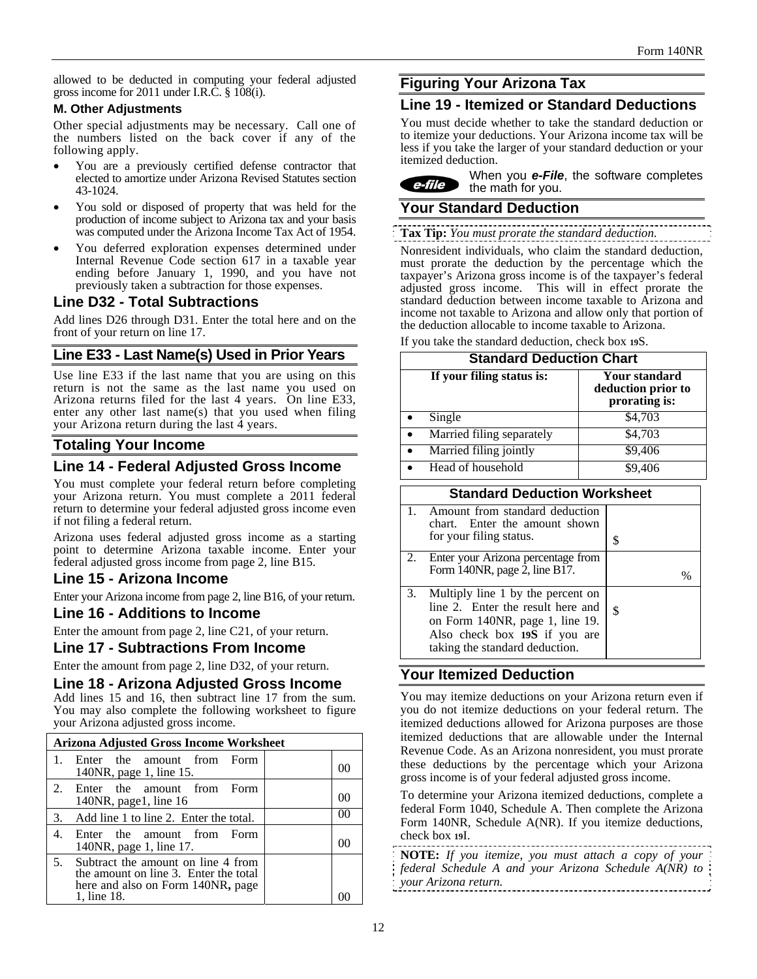allowed to be deducted in computing your federal adjusted gross income for 2011 under I.R.C. § 108(i).

#### **M. Other Adjustments**

Other special adjustments may be necessary. Call one of the numbers listed on the back cover if any of the following apply.

- You are a previously certified defense contractor that elected to amortize under Arizona Revised Statutes section 43-1024.
- You sold or disposed of property that was held for the production of income subject to Arizona tax and your basis was computed under the Arizona Income Tax Act of 1954.
- You deferred exploration expenses determined under Internal Revenue Code section 617 in a taxable year ending before January 1, 1990, and you have not previously taken a subtraction for those expenses.

## **Line D32 - Total Subtractions**

Add lines D26 through D31. Enter the total here and on the front of your return on line 17.

# **Line E33 - Last Name(s) Used in Prior Years**

Use line E33 if the last name that you are using on this return is not the same as the last name you used on Arizona returns filed for the last 4 years. On line E33, enter any other last name(s) that you used when filing your Arizona return during the last 4 years.

# **Totaling Your Income**

# **Line 14 - Federal Adjusted Gross Income**

You must complete your federal return before completing your Arizona return. You must complete a 2011 federal return to determine your federal adjusted gross income even if not filing a federal return.

Arizona uses federal adjusted gross income as a starting point to determine Arizona taxable income. Enter your federal adjusted gross income from page 2, line B15.

# **Line 15 - Arizona Income**

Enter your Arizona income from page 2, line B16, of your return.

## **Line 16 - Additions to Income**

Enter the amount from page 2, line C21, of your return.

#### **Line 17 - Subtractions From Income**

Enter the amount from page 2, line D32, of your return.

## **Line 18 - Arizona Adjusted Gross Income**

Add lines 15 and 16, then subtract line 17 from the sum. You may also complete the following worksheet to figure your Arizona adjusted gross income.

|         | Arizona Adjusted Gross Income Worksheet                                                                                         |  |        |
|---------|---------------------------------------------------------------------------------------------------------------------------------|--|--------|
|         | Enter the amount from Form<br>140NR, page 1, line 15.                                                                           |  | O(     |
| $2_{-}$ | Enter the amount from Form<br>140 $NR$ , page 1, line 16                                                                        |  | O(     |
| 3.      | Add line 1 to line 2. Enter the total.                                                                                          |  | $($ )( |
| 4.      | Enter the amount from Form<br>140NR, page 1, line 17.                                                                           |  | OC.    |
| 5.      | Subtract the amount on line 4 from<br>the amount on line 3. Enter the total<br>here and also on Form 140NR, page<br>1, line 18. |  |        |

# **Figuring Your Arizona Tax**

# **Line 19 - Itemized or Standard Deductions**

You must decide whether to take the standard deduction or to itemize your deductions. Your Arizona income tax will be less if you take the larger of your standard deduction or your itemized deduction.

When you *e-File*, the software completes e-file the math for you.

# **Your Standard Deduction**

**Tax Tip:** *You must prorate the standard deduction.* 

Nonresident individuals, who claim the standard deduction, must prorate the deduction by the percentage which the taxpayer's Arizona gross income is of the taxpayer's federal adjusted gross income. This will in effect prorate the standard deduction between income taxable to Arizona and income not taxable to Arizona and allow only that portion of the deduction allocable to income taxable to Arizona.

If you take the standard deduction, check box **19**S.

| <b>Standard Deduction Chart</b> |                                                      |  |
|---------------------------------|------------------------------------------------------|--|
| If your filing status is:       | Your standard<br>deduction prior to<br>prorating is: |  |
| Single                          | \$4,703                                              |  |
| Married filing separately       | \$4,703                                              |  |
| Married filing jointly          | \$9,406                                              |  |
| Head of household               | \$9.406                                              |  |

|    | <b>Standard Deduction Worksheet</b>                                                                                                                                          |    |
|----|------------------------------------------------------------------------------------------------------------------------------------------------------------------------------|----|
| 1. | Amount from standard deduction<br>chart. Enter the amount shown<br>for your filing status.                                                                                   | S  |
|    | 2. Enter your Arizona percentage from<br>Form 140NR, page 2, line B17.                                                                                                       |    |
| 3. | Multiply line 1 by the percent on<br>line 2. Enter the result here and<br>on Form 140NR, page 1, line 19.<br>Also check box 19S if you are<br>taking the standard deduction. | \$ |

# **Your Itemized Deduction**

You may itemize deductions on your Arizona return even if you do not itemize deductions on your federal return. The itemized deductions allowed for Arizona purposes are those itemized deductions that are allowable under the Internal Revenue Code. As an Arizona nonresident, you must prorate these deductions by the percentage which your Arizona gross income is of your federal adjusted gross income.

To determine your Arizona itemized deductions, complete a federal Form 1040, Schedule A. Then complete the Arizona Form 140NR, Schedule A(NR). If you itemize deductions, check box **19**I.

|                      | NOTE: If you itemize, you must attach a copy of your  |
|----------------------|-------------------------------------------------------|
|                      | federal Schedule A and your Arizona Schedule A(NR) to |
| vour Arizona return. |                                                       |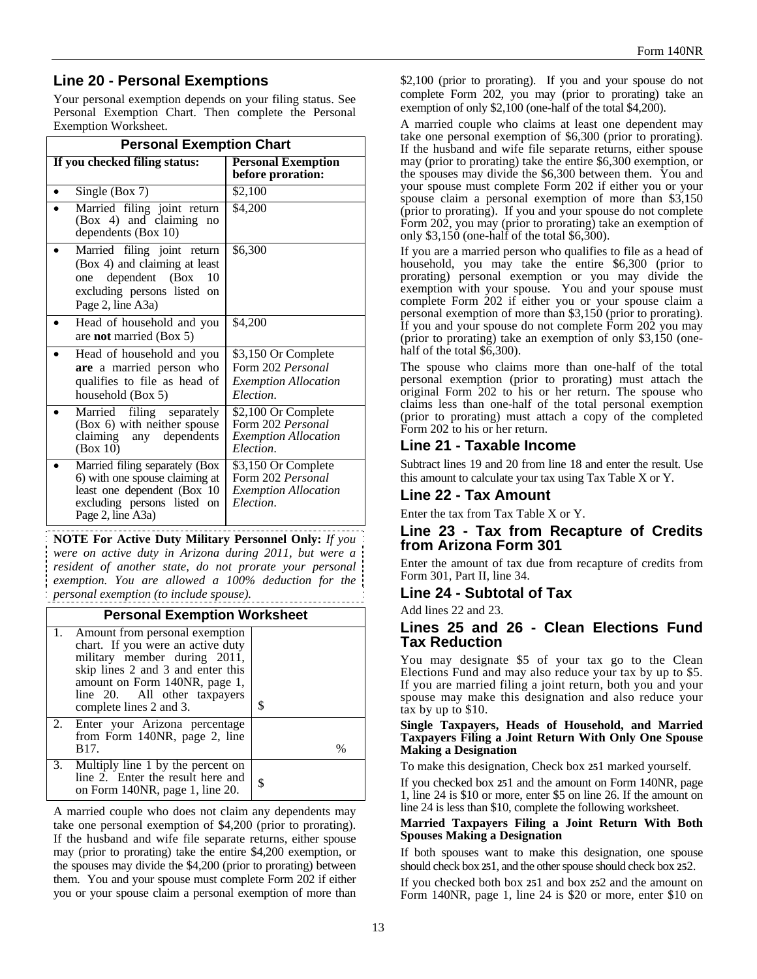# **Line 20 - Personal Exemptions**

Your personal exemption depends on your filing status. See Personal Exemption Chart. Then complete the Personal Exemption Worksheet.

| <b>Personal Exemption Chart</b>                                                                                                                        |                                                                                              |  |
|--------------------------------------------------------------------------------------------------------------------------------------------------------|----------------------------------------------------------------------------------------------|--|
| If you checked filing status:                                                                                                                          | <b>Personal Exemption</b><br>before proration:                                               |  |
| Single (Box 7)                                                                                                                                         | \$2,100                                                                                      |  |
| Married filing joint return<br>$(Box 4)$ and claiming<br>no<br>dependents (Box 10)                                                                     | \$4,200                                                                                      |  |
| Married filing joint return<br>(Box 4) and claiming at least<br>dependent (Box<br>10<br>one<br>excluding persons listed on<br>Page 2, line A3a)        | \$6,300                                                                                      |  |
| Head of household and you<br>are <b>not</b> married (Box 5)                                                                                            | \$4,200                                                                                      |  |
| Head of household and you<br>are a married person who<br>qualifies to file as head of<br>household (Box 5)                                             | \$3,150 Or Complete<br>Form 202 Personal<br><b>Exemption Allocation</b><br>Election.         |  |
| Married filing separately<br>(Box 6) with neither spouse<br>claiming any dependents<br>(Box 10)                                                        | $\sqrt{$2,100}$ Or Complete<br>Form 202 Personal<br><b>Exemption Allocation</b><br>Election. |  |
| Married filing separately (Box<br>6) with one spouse claiming at<br>least one dependent (Box 10<br>excluding persons listed<br>on<br>Page 2, line A3a) | \$3,150 Or Complete<br>Form 202 Personal<br><i><b>Exemption Allocation</b></i><br>Election.  |  |

**NOTE For Active Duty Military Personnel Only:** *If you were on active duty in Arizona during 2011, but were a resident of another state, do not prorate your personal exemption. You are allowed a 100% deduction for the personal exemption (to include spouse).* 

#### **Personal Exemption Worksheet**

| 1. Amount from personal exemption<br>chart. If you were an active duty<br>military member during 2011,<br>skip lines 2 and 3 and enter this<br>amount on Form 140NR, page 1,<br>line 20. All other taxpayers<br>complete lines 2 and 3. | \$ |
|-----------------------------------------------------------------------------------------------------------------------------------------------------------------------------------------------------------------------------------------|----|
| 2. Enter your Arizona percentage<br>from Form 140NR, page 2, line<br>B <sub>17</sub> .                                                                                                                                                  | %  |
| 3. Multiply line 1 by the percent on<br>line 2. Enter the result here and<br>on Form 140NR, page 1, line 20.                                                                                                                            |    |

A married couple who does not claim any dependents may take one personal exemption of \$4,200 (prior to prorating). If the husband and wife file separate returns, either spouse may (prior to prorating) take the entire \$4,200 exemption, or the spouses may divide the \$4,200 (prior to prorating) between them. You and your spouse must complete Form 202 if either you or your spouse claim a personal exemption of more than \$2,100 (prior to prorating). If you and your spouse do not complete Form 202, you may (prior to prorating) take an exemption of only \$2,100 (one-half of the total \$4,200).

A married couple who claims at least one dependent may take one personal exemption of \$6,300 (prior to prorating). If the husband and wife file separate returns, either spouse may (prior to prorating) take the entire \$6,300 exemption, or the spouses may divide the \$6,300 between them. You and your spouse must complete Form 202 if either you or your spouse claim a personal exemption of more than \$3,150 (prior to prorating). If you and your spouse do not complete Form 202, you may (prior to prorating) take an exemption of only \$3,150 (one-half of the total \$6,300).

If you are a married person who qualifies to file as a head of household, you may take the entire \$6,300 (prior to prorating) personal exemption or you may divide the exemption with your spouse. You and your spouse must complete Form 202 if either you or your spouse claim a personal exemption of more than \$3,150 (prior to prorating). If you and your spouse do not complete Form 202 you may (prior to prorating) take an exemption of only \$3,150 (onehalf of the total \$6,300).

The spouse who claims more than one-half of the total personal exemption (prior to prorating) must attach the original Form 202 to his or her return. The spouse who claims less than one-half of the total personal exemption (prior to prorating) must attach a copy of the completed Form 202 to his or her return.

## **Line 21 - Taxable Income**

Subtract lines 19 and 20 from line 18 and enter the result. Use this amount to calculate your tax using Tax Table X or Y.

## **Line 22 - Tax Amount**

Enter the tax from Tax Table X or Y.

## **Line 23 - Tax from Recapture of Credits from Arizona Form 301**

Enter the amount of tax due from recapture of credits from Form 301, Part II, line 34.

## **Line 24 - Subtotal of Tax**

Add lines 22 and 23.

## **Lines 25 and 26 - Clean Elections Fund Tax Reduction**

You may designate \$5 of your tax go to the Clean Elections Fund and may also reduce your tax by up to \$5. If you are married filing a joint return, both you and your spouse may make this designation and also reduce your tax by up to \$10.

#### **Single Taxpayers, Heads of Household, and Married Taxpayers Filing a Joint Return With Only One Spouse Making a Designation**

To make this designation, Check box **25**1 marked yourself.

If you checked box **25**1 and the amount on Form 140NR, page 1, line 24 is \$10 or more, enter \$5 on line 26. If the amount on line 24 is less than \$10, complete the following worksheet.

#### **Married Taxpayers Filing a Joint Return With Both Spouses Making a Designation**

If both spouses want to make this designation, one spouse should check box **25**1, and the other spouse should check box **25**2.

If you checked both box **25**1 and box **25**2 and the amount on Form 140NR, page 1, line 24 is \$20 or more, enter \$10 on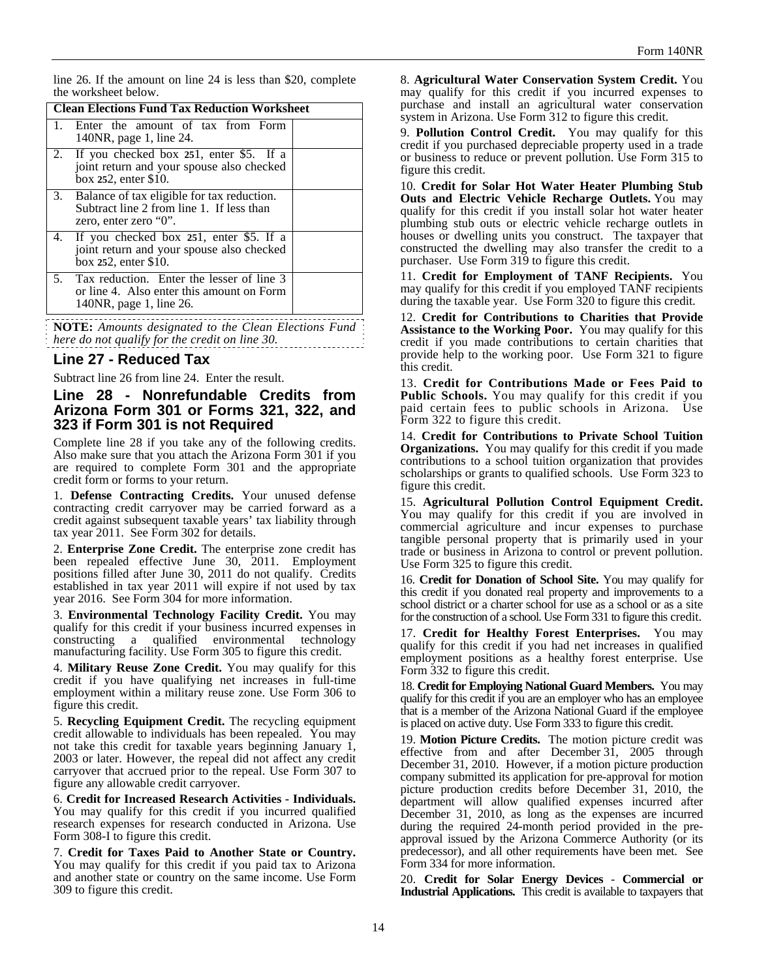line 26. If the amount on line 24 is less than \$20, complete the worksheet below.

|    | <b>Clean Elections Fund Tax Reduction Worksheet</b>                                                                 |  |  |
|----|---------------------------------------------------------------------------------------------------------------------|--|--|
|    | Enter the amount of tax from Form<br>140NR, page 1, line 24.                                                        |  |  |
|    | 2. If you checked box 251, enter \$5. If a<br>joint return and your spouse also checked<br>box 252, enter \$10.     |  |  |
|    | 3. Balance of tax eligible for tax reduction.<br>Subtract line 2 from line 1. If less than<br>zero, enter zero "0". |  |  |
|    | 4. If you checked box 251, enter \$5. If a<br>joint return and your spouse also checked<br>box $252$ , enter \$10.  |  |  |
| 5. | Tax reduction. Enter the lesser of line 3<br>or line 4. Also enter this amount on Form<br>140NR, page 1, line 26.   |  |  |
|    |                                                                                                                     |  |  |

**NOTE:** *Amounts designated to the Clean Elections Fund here do not qualify for the credit on line 30.*

## **Line 27 - Reduced Tax**

Subtract line 26 from line 24. Enter the result.

## **Line 28 - Nonrefundable Credits from Arizona Form 301 or Forms 321, 322, and 323 if Form 301 is not Required**

Complete line 28 if you take any of the following credits. Also make sure that you attach the Arizona Form 301 if you are required to complete Form 301 and the appropriate credit form or forms to your return.

1. **Defense Contracting Credits.** Your unused defense contracting credit carryover may be carried forward as a credit against subsequent taxable years' tax liability through tax year 2011. See Form 302 for details.

2. **Enterprise Zone Credit.** The enterprise zone credit has been repealed effective June 30, 2011. Employment positions filled after June 30, 2011 do not qualify. Credits established in tax year 2011 will expire if not used by tax year 2016. See Form 304 for more information.

3. **Environmental Technology Facility Credit.** You may qualify for this credit if your business incurred expenses in constructing a qualified environmental technology manufacturing facility. Use Form 305 to figure this credit.

4. **Military Reuse Zone Credit.** You may qualify for this credit if you have qualifying net increases in full-time employment within a military reuse zone. Use Form 306 to figure this credit.

5. **Recycling Equipment Credit.** The recycling equipment credit allowable to individuals has been repealed. You may not take this credit for taxable years beginning January 1, 2003 or later. However, the repeal did not affect any credit carryover that accrued prior to the repeal. Use Form 307 to figure any allowable credit carryover.

6. **Credit for Increased Research Activities - Individuals.** You may qualify for this credit if you incurred qualified research expenses for research conducted in Arizona. Use Form 308-I to figure this credit.

7. **Credit for Taxes Paid to Another State or Country.**  You may qualify for this credit if you paid tax to Arizona and another state or country on the same income. Use Form 309 to figure this credit.

8. **Agricultural Water Conservation System Credit.** You may qualify for this credit if you incurred expenses to purchase and install an agricultural water conservation system in Arizona. Use Form 312 to figure this credit.

9. **Pollution Control Credit.** You may qualify for this credit if you purchased depreciable property used in a trade or business to reduce or prevent pollution. Use Form 315 to figure this credit.

10. **Credit for Solar Hot Water Heater Plumbing Stub Outs and Electric Vehicle Recharge Outlets.** You may qualify for this credit if you install solar hot water heater plumbing stub outs or electric vehicle recharge outlets in houses or dwelling units you construct. The taxpayer that constructed the dwelling may also transfer the credit to a purchaser. Use Form 319 to figure this credit.

11. **Credit for Employment of TANF Recipients.** You may qualify for this credit if you employed TANF recipients during the taxable year. Use Form 320 to figure this credit.

12. **Credit for Contributions to Charities that Provide Assistance to the Working Poor.** You may qualify for this credit if you made contributions to certain charities that provide help to the working poor. Use Form 321 to figure this credit.

13. **Credit for Contributions Made or Fees Paid to Public Schools.** You may qualify for this credit if you paid certain fees to public schools in Arizona. Use Form 322 to figure this credit.

14. **Credit for Contributions to Private School Tuition Organizations.** You may qualify for this credit if you made contributions to a school tuition organization that provides scholarships or grants to qualified schools. Use Form 323 to figure this credit.

15. **Agricultural Pollution Control Equipment Credit.**  You may qualify for this credit if you are involved in commercial agriculture and incur expenses to purchase tangible personal property that is primarily used in your trade or business in Arizona to control or prevent pollution. Use Form 325 to figure this credit.

16. **Credit for Donation of School Site.** You may qualify for this credit if you donated real property and improvements to a school district or a charter school for use as a school or as a site for the construction of a school. Use Form 331 to figure this credit.

17. **Credit for Healthy Forest Enterprises.** You may qualify for this credit if you had net increases in qualified employment positions as a healthy forest enterprise. Use Form 332 to figure this credit.

18. **Credit for Employing National Guard Members.** You may qualify for this credit if you are an employer who has an employee that is a member of the Arizona National Guard if the employee is placed on active duty. Use Form 333 to figure this credit.

19. **Motion Picture Credits.** The motion picture credit was effective from and after December 31, 2005 through December 31, 2010. However, if a motion picture production company submitted its application for pre-approval for motion picture production credits before December 31, 2010, the department will allow qualified expenses incurred after December 31, 2010, as long as the expenses are incurred during the required 24-month period provided in the preapproval issued by the Arizona Commerce Authority (or its predecessor), and all other requirements have been met. See Form 334 for more information.

20. **Credit for Solar Energy Devices** - **Commercial or Industrial Applications.** This credit is available to taxpayers that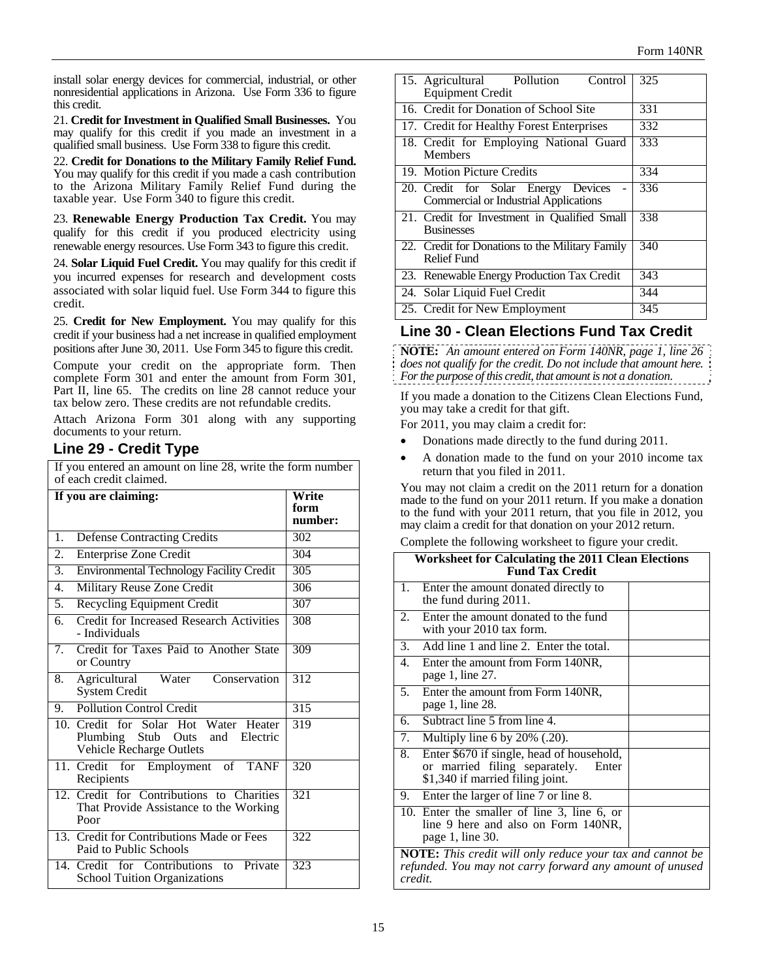install solar energy devices for commercial, industrial, or other nonresidential applications in Arizona. Use Form 336 to figure this credit.

21. **Credit for Investment in Qualified Small Businesses.** You may qualify for this credit if you made an investment in a qualified small business. Use Form 338 to figure this credit.

22. **Credit for Donations to the Military Family Relief Fund.** You may qualify for this credit if you made a cash contribution to the Arizona Military Family Relief Fund during the taxable year. Use Form 340 to figure this credit.

23. **Renewable Energy Production Tax Credit.** You may qualify for this credit if you produced electricity using renewable energy resources. Use Form 343 to figure this credit.

24. **Solar Liquid Fuel Credit.** You may qualify for this credit if you incurred expenses for research and development costs associated with solar liquid fuel. Use Form 344 to figure this credit.

25. **Credit for New Employment.** You may qualify for this credit if your business had a net increase in qualified employment positions after June 30, 2011. Use Form 345 to figure this credit.

Compute your credit on the appropriate form. Then complete Form 301 and enter the amount from Form 301, Part II, line 65. The credits on line 28 cannot reduce your tax below zero. These credits are not refundable credits.

Attach Arizona Form 301 along with any supporting documents to your return.

# **Line 29 - Credit Type**

If you entered an amount on line 28, write the form number of each credit claimed.

|                  | If you are claiming:                                                                                 | Write<br>form<br>number: |
|------------------|------------------------------------------------------------------------------------------------------|--------------------------|
| 1.               | <b>Defense Contracting Credits</b>                                                                   | 302                      |
| 2.               | <b>Enterprise Zone Credit</b>                                                                        | 304                      |
| $\overline{3}$ . | <b>Environmental Technology Facility Credit</b>                                                      | 305                      |
| 4.               | Military Reuse Zone Credit                                                                           | 306                      |
| 5.               | <b>Recycling Equipment Credit</b>                                                                    | 307                      |
| 6.               | Credit for Increased Research Activities<br>- Individuals                                            | 308                      |
| 7.               | Credit for Taxes Paid to Another State<br>or Country                                                 | 309                      |
| 8.               | Agricultural<br>Water<br>Conservation<br><b>System Credit</b>                                        | 312                      |
| 9.               | <b>Pollution Control Credit</b>                                                                      | 315                      |
|                  | 10. Credit for Solar Hot Water Heater<br>Plumbing Stub Outs and Electric<br>Vehicle Recharge Outlets | 319                      |
|                  | 11. Credit<br>of TANF<br>for Employment<br>Recipients                                                | 320                      |
|                  | 12. Credit for Contributions to Charities<br>That Provide Assistance to the Working<br>Poor          | 321                      |
|                  | 13. Credit for Contributions Made or Fees<br>Paid to Public Schools                                  | 322                      |
|                  | 14. Credit for Contributions to Private<br><b>School Tuition Organizations</b>                       | 323                      |

| 15. Agricultural Pollution<br>Control<br>Equipment Credit                           | 325 |
|-------------------------------------------------------------------------------------|-----|
| 16. Credit for Donation of School Site                                              | 331 |
| 17. Credit for Healthy Forest Enterprises                                           | 332 |
| 18. Credit for Employing National Guard<br>Members                                  | 333 |
| 19. Motion Picture Credits                                                          | 334 |
| 20. Credit for Solar Energy Devices<br><b>Commercial or Industrial Applications</b> | 336 |
| 21. Credit for Investment in Qualified Small<br><b>Businesses</b>                   | 338 |
| 22. Credit for Donations to the Military Family<br><b>Relief Fund</b>               | 340 |
| 23. Renewable Energy Production Tax Credit                                          | 343 |
| 24. Solar Liquid Fuel Credit                                                        | 344 |
| 25. Credit for New Employment                                                       | 345 |
|                                                                                     |     |

# **Line 30 - Clean Elections Fund Tax Credit**

**NOTE:** *An amount entered on Form 140NR, page 1, line 26 does not qualify for the credit. Do not include that amount here. For the purpose of this credit, that amount is not a donation.*

If you made a donation to the Citizens Clean Elections Fund, you may take a credit for that gift.

For 2011, you may claim a credit for:

- Donations made directly to the fund during 2011.
- A donation made to the fund on your 2010 income tax return that you filed in 2011.

You may not claim a credit on the 2011 return for a donation made to the fund on your 2011 return. If you make a donation to the fund with your 2011 return, that you file in 2012, you may claim a credit for that donation on your 2012 return.

Complete the following worksheet to figure your credit.

| <b>Worksheet for Calculating the 2011 Clean Elections</b><br><b>Fund Tax Credit</b>                                              |                                                                                                                         |  |  |  |
|----------------------------------------------------------------------------------------------------------------------------------|-------------------------------------------------------------------------------------------------------------------------|--|--|--|
| 1.                                                                                                                               | Enter the amount donated directly to<br>the fund during 2011.                                                           |  |  |  |
| 2.                                                                                                                               | Enter the amount donated to the fund<br>with your 2010 tax form.                                                        |  |  |  |
| 3.                                                                                                                               | Add line 1 and line 2. Enter the total.                                                                                 |  |  |  |
| 4.                                                                                                                               | Enter the amount from Form 140NR,<br>page 1, line 27.                                                                   |  |  |  |
| 5.                                                                                                                               | Enter the amount from Form 140NR,<br>page 1, line 28.                                                                   |  |  |  |
| 6.                                                                                                                               | Subtract line 5 from line 4.                                                                                            |  |  |  |
| 7.                                                                                                                               | Multiply line 6 by $20\%$ (.20).                                                                                        |  |  |  |
| 8.                                                                                                                               | Enter \$670 if single, head of household,<br>or married filing separately.<br>Enter<br>\$1,340 if married filing joint. |  |  |  |
| 9.                                                                                                                               | Enter the larger of line 7 or line 8.                                                                                   |  |  |  |
|                                                                                                                                  | 10. Enter the smaller of line 3, line 6, or<br>line 9 here and also on Form 140NR,<br>page 1, line 30.                  |  |  |  |
| NOTE: This credit will only reduce your tax and cannot be<br>refunded. You may not carry forward any amount of unused<br>credit. |                                                                                                                         |  |  |  |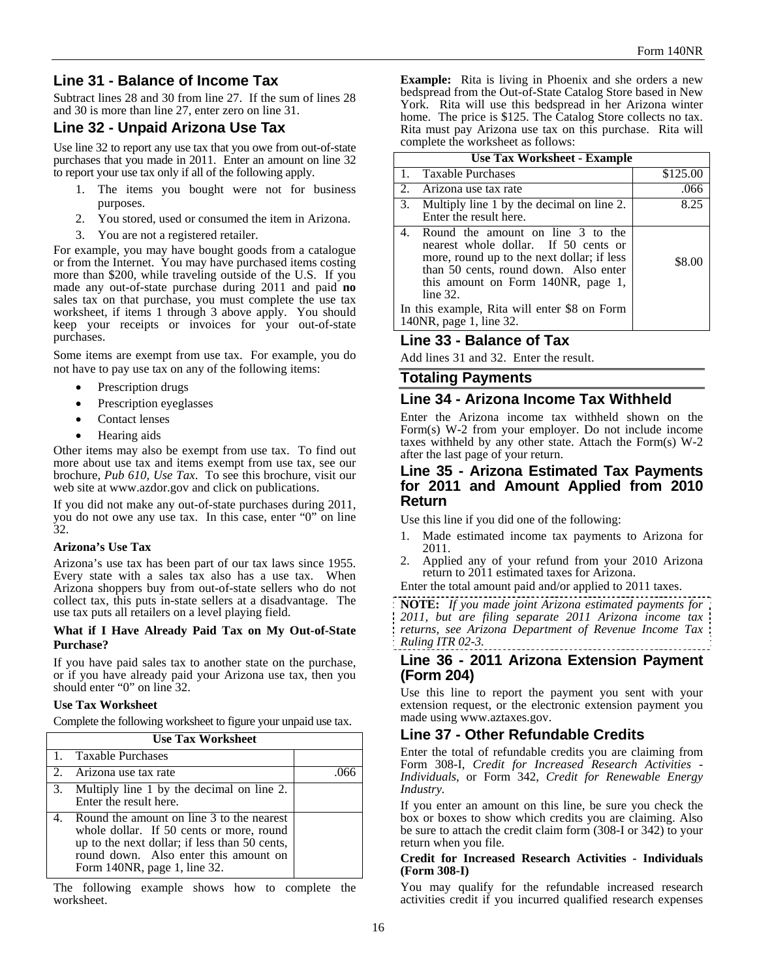# **Line 31 - Balance of Income Tax**

Subtract lines 28 and 30 from line 27. If the sum of lines 28 and 30 is more than line 27, enter zero on line 31.

# **Line 32 - Unpaid Arizona Use Tax**

Use line 32 to report any use tax that you owe from out-of-state purchases that you made in 2011. Enter an amount on line 32 to report your use tax only if all of the following apply.

- 1. The items you bought were not for business purposes.
- 2. You stored, used or consumed the item in Arizona.
- 3. You are not a registered retailer.

For example, you may have bought goods from a catalogue or from the Internet. You may have purchased items costing more than \$200, while traveling outside of the U.S. If you made any out-of-state purchase during 2011 and paid **no**  sales tax on that purchase, you must complete the use tax worksheet, if items 1 through 3 above apply. You should keep your receipts or invoices for your out-of-state purchases.

Some items are exempt from use tax. For example, you do not have to pay use tax on any of the following items:

- Prescription drugs
- Prescription eyeglasses
- Contact lenses
- Hearing aids

Other items may also be exempt from use tax. To find out more about use tax and items exempt from use tax, see our brochure, *Pub 610, Use Tax*. To see this brochure, visit our web site at www.azdor.gov and click on publications.

If you did not make any out-of-state purchases during 2011, you do not owe any use tax. In this case, enter "0" on line 32.

## **Arizona's Use Tax**

Arizona's use tax has been part of our tax laws since 1955. Every state with a sales tax also has a use tax. When Arizona shoppers buy from out-of-state sellers who do not collect tax, this puts in-state sellers at a disadvantage. The use tax puts all retailers on a level playing field.

#### **What if I Have Already Paid Tax on My Out-of-State Purchase?**

If you have paid sales tax to another state on the purchase, or if you have already paid your Arizona use tax, then you should enter "0" on line 32.

#### **Use Tax Worksheet**

Complete the following worksheet to figure your unpaid use tax.

| <b>Use Tax Worksheet</b> |                                                                                                                                                                                                                    |  |  |  |
|--------------------------|--------------------------------------------------------------------------------------------------------------------------------------------------------------------------------------------------------------------|--|--|--|
|                          | 1. Taxable Purchases                                                                                                                                                                                               |  |  |  |
|                          | 2. Arizona use tax rate                                                                                                                                                                                            |  |  |  |
|                          | 3. Multiply line 1 by the decimal on line 2.<br>Enter the result here.                                                                                                                                             |  |  |  |
|                          | 4. Round the amount on line 3 to the nearest<br>whole dollar. If 50 cents or more, round<br>up to the next dollar; if less than 50 cents,<br>round down. Also enter this amount on<br>Form 140NR, page 1, line 32. |  |  |  |

The following example shows how to complete the worksheet.

**Example:** Rita is living in Phoenix and she orders a new bedspread from the Out-of-State Catalog Store based in New York. Rita will use this bedspread in her Arizona winter home. The price is \$125. The Catalog Store collects no tax. Rita must pay Arizona use tax on this purchase. Rita will complete the worksheet as follows:

| <b>Use Tax Worksheet - Example</b>                                                                                                                                                                                       |          |  |  |  |
|--------------------------------------------------------------------------------------------------------------------------------------------------------------------------------------------------------------------------|----------|--|--|--|
| 1. Taxable Purchases                                                                                                                                                                                                     | \$125.00 |  |  |  |
| 2. Arizona use tax rate                                                                                                                                                                                                  | .066     |  |  |  |
| 3. Multiply line 1 by the decimal on line 2.<br>Enter the result here.                                                                                                                                                   | 8.25     |  |  |  |
| Round the amount on line 3 to the<br>4.<br>nearest whole dollar. If 50 cents or<br>more, round up to the next dollar; if less<br>than 50 cents, round down. Also enter<br>this amount on Form 140NR, page 1,<br>line 32. | \$8.00   |  |  |  |
| In this example, Rita will enter \$8 on Form<br>140NR, page 1, line 32.                                                                                                                                                  |          |  |  |  |

# **Line 33 - Balance of Tax**

Add lines 31 and 32. Enter the result.

# **Totaling Payments**

## **Line 34 - Arizona Income Tax Withheld**

Enter the Arizona income tax withheld shown on the Form(s) W-2 from your employer. Do not include income taxes withheld by any other state. Attach the Form(s) W-2 after the last page of your return.

## **Line 35 - Arizona Estimated Tax Payments for 2011 and Amount Applied from 2010 Return**

Use this line if you did one of the following:

- 1. Made estimated income tax payments to Arizona for 2011.
- 2. Applied any of your refund from your 2010 Arizona return to 2011 estimated taxes for Arizona.

Enter the total amount paid and/or applied to 2011 taxes.

**NOTE:** *If you made joint Arizona estimated payments for 2011, but are filing separate 2011 Arizona income tax returns, see Arizona Department of Revenue Income Tax Ruling ITR 02-3.*

# **Line 36 - 2011 Arizona Extension Payment (Form 204)**

Use this line to report the payment you sent with your extension request, or the electronic extension payment you made using www.aztaxes.gov.

# **Line 37 - Other Refundable Credits**

Enter the total of refundable credits you are claiming from Form 308-I, *Credit for Increased Research Activities - Individuals*, or Form 342, *Credit for Renewable Energy Industry.*

If you enter an amount on this line, be sure you check the box or boxes to show which credits you are claiming. Also be sure to attach the credit claim form (308-I or 342) to your return when you file.

#### **Credit for Increased Research Activities - Individuals (Form 308-I)**

You may qualify for the refundable increased research activities credit if you incurred qualified research expenses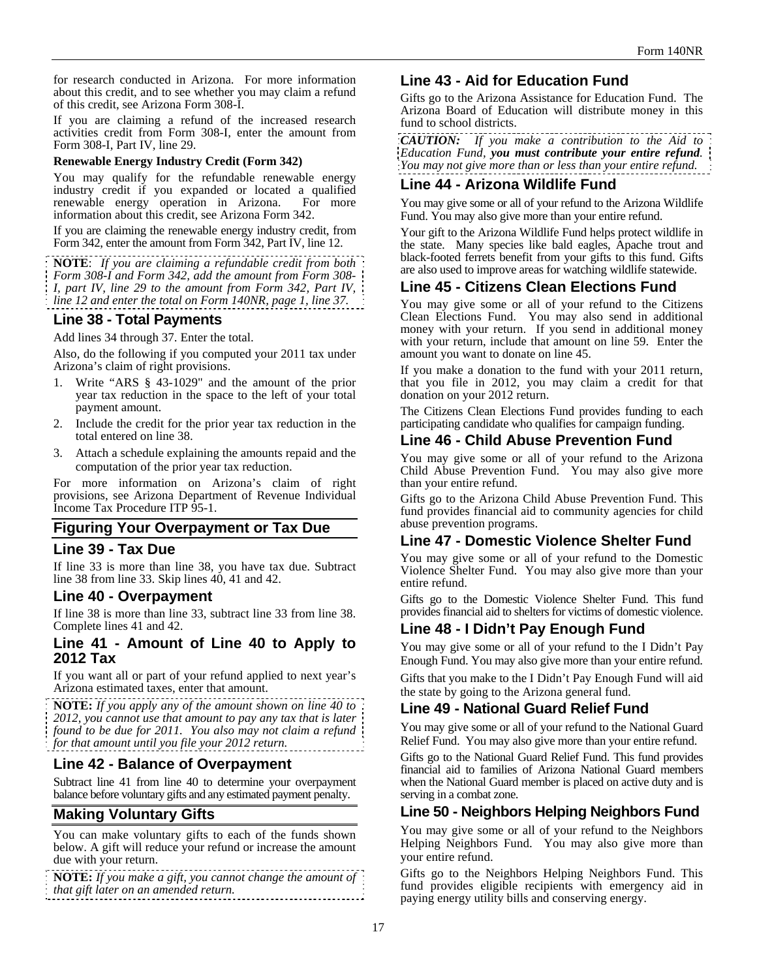for research conducted in Arizona. For more information about this credit, and to see whether you may claim a refund of this credit, see Arizona Form 308-I.

If you are claiming a refund of the increased research activities credit from Form 308-I, enter the amount from Form 308-I, Part IV, line 29.

#### **Renewable Energy Industry Credit (Form 342)**

You may qualify for the refundable renewable energy industry credit if you expanded or located a qualified renewable energy operation in Arizona. information about this credit, see Arizona Form 342.

If you are claiming the renewable energy industry credit, from Form 342, enter the amount from Form 342, Part IV, line 12.

**NOTE**: *If you are claiming a refundable credit from both Form 308-I and Form 342, add the amount from Form 308- I, part IV, line 29 to the amount from Form 342, Part IV, line 12 and enter the total on Form 140NR, page 1, line 37.* 

# **Line 38 - Total Payments**

Add lines 34 through 37. Enter the total.

Also, do the following if you computed your 2011 tax under Arizona's claim of right provisions.

- 1. Write "ARS § 43-1029" and the amount of the prior year tax reduction in the space to the left of your total payment amount.
- 2. Include the credit for the prior year tax reduction in the total entered on line 38.
- 3. Attach a schedule explaining the amounts repaid and the computation of the prior year tax reduction.

For more information on Arizona's claim of right provisions, see Arizona Department of Revenue Individual Income Tax Procedure ITP 95-1.

## **Figuring Your Overpayment or Tax Due**

#### **Line 39 - Tax Due**

If line 33 is more than line 38, you have tax due. Subtract line 38 from line 33. Skip lines 40, 41 and 42.

#### **Line 40 - Overpayment**

If line 38 is more than line 33, subtract line 33 from line 38. Complete lines 41 and 42.

## **Line 41 - Amount of Line 40 to Apply to 2012 Tax**

If you want all or part of your refund applied to next year's Arizona estimated taxes, enter that amount.

**NOTE:** *If you apply any of the amount shown on line 40 to 2012, you cannot use that amount to pay any tax that is later found to be due for 2011. You also may not claim a refund for that amount until you file your 2012 return.*

## **Line 42 - Balance of Overpayment**

Subtract line 41 from line 40 to determine your overpayment balance before voluntary gifts and any estimated payment penalty.

# **Making Voluntary Gifts**

You can make voluntary gifts to each of the funds shown below. A gift will reduce your refund or increase the amount due with your return.

**NOTE:** *If you make a gift, you cannot change the amount of that gift later on an amended return.*

# **Line 43 - Aid for Education Fund**

Gifts go to the Arizona Assistance for Education Fund. The Arizona Board of Education will distribute money in this fund to school districts.

*CAUTION: If you make a contribution to the Aid to Education Fund, you must contribute your entire refund. You may not give more than or less than your entire refund.* 

# **Line 44 - Arizona Wildlife Fund**

You may give some or all of your refund to the Arizona Wildlife Fund. You may also give more than your entire refund.

Your gift to the Arizona Wildlife Fund helps protect wildlife in the state. Many species like bald eagles, Apache trout and black-footed ferrets benefit from your gifts to this fund. Gifts are also used to improve areas for watching wildlife statewide.

# **Line 45 - Citizens Clean Elections Fund**

You may give some or all of your refund to the Citizens Clean Elections Fund. You may also send in additional money with your return. If you send in additional money with your return, include that amount on line 59. Enter the amount you want to donate on line 45.

If you make a donation to the fund with your 2011 return, that you file in 2012, you may claim a credit for that donation on your 2012 return.

The Citizens Clean Elections Fund provides funding to each participating candidate who qualifies for campaign funding.

## **Line 46 - Child Abuse Prevention Fund**

You may give some or all of your refund to the Arizona Child Abuse Prevention Fund. You may also give more than your entire refund.

Gifts go to the Arizona Child Abuse Prevention Fund. This fund provides financial aid to community agencies for child abuse prevention programs.

## **Line 47 - Domestic Violence Shelter Fund**

You may give some or all of your refund to the Domestic Violence Shelter Fund. You may also give more than your entire refund.

Gifts go to the Domestic Violence Shelter Fund. This fund provides financial aid to shelters for victims of domestic violence.

# **Line 48 - I Didn't Pay Enough Fund**

You may give some or all of your refund to the I Didn't Pay Enough Fund. You may also give more than your entire refund.

Gifts that you make to the I Didn't Pay Enough Fund will aid the state by going to the Arizona general fund.

## **Line 49 - National Guard Relief Fund**

You may give some or all of your refund to the National Guard Relief Fund. You may also give more than your entire refund.

Gifts go to the National Guard Relief Fund. This fund provides financial aid to families of Arizona National Guard members when the National Guard member is placed on active duty and is serving in a combat zone.

## **Line 50 - Neighbors Helping Neighbors Fund**

You may give some or all of your refund to the Neighbors Helping Neighbors Fund. You may also give more than your entire refund.

Gifts go to the Neighbors Helping Neighbors Fund. This fund provides eligible recipients with emergency aid in paying energy utility bills and conserving energy.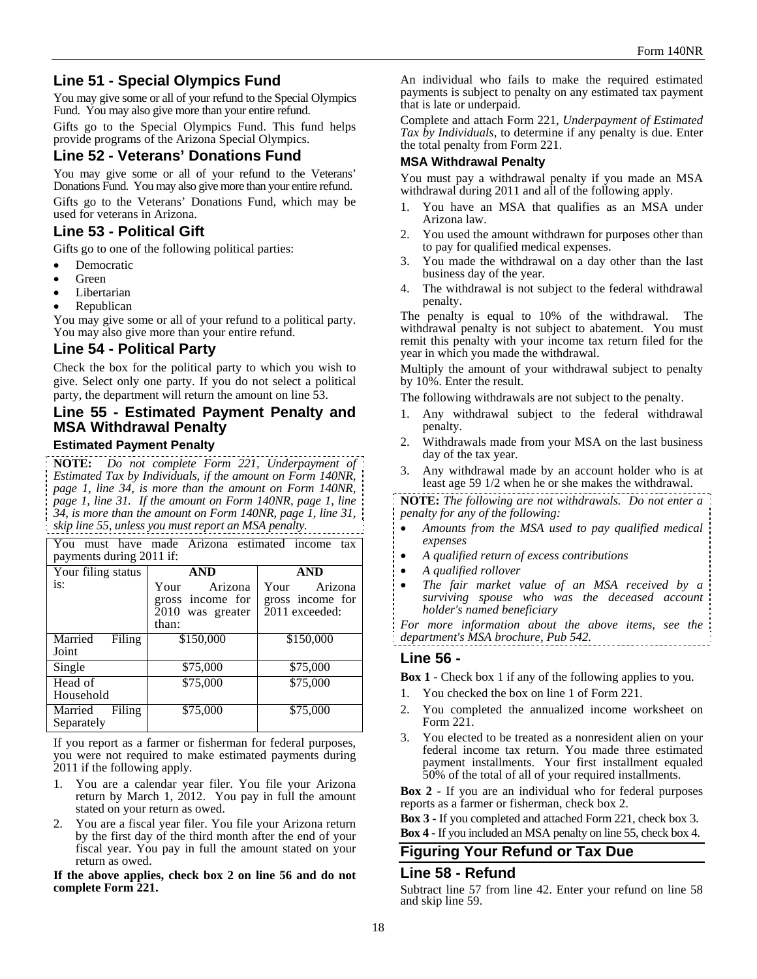# **Line 51 - Special Olympics Fund**

You may give some or all of your refund to the Special Olympics Fund. You may also give more than your entire refund.

Gifts go to the Special Olympics Fund. This fund helps provide programs of the Arizona Special Olympics.

# **Line 52 - Veterans' Donations Fund**

You may give some or all of your refund to the Veterans' Donations Fund. You may also give more than your entire refund. Gifts go to the Veterans' Donations Fund, which may be used for veterans in Arizona.

# **Line 53 - Political Gift**

Gifts go to one of the following political parties:

- Democratic
- Green
- Libertarian
- Republican

You may give some or all of your refund to a political party. You may also give more than your entire refund.

# **Line 54 - Political Party**

Check the box for the political party to which you wish to give. Select only one party. If you do not select a political party, the department will return the amount on line 53.

# **Line 55 - Estimated Payment Penalty and MSA Withdrawal Penalty**

## **Estimated Payment Penalty**

**NOTE:** *Do not complete Form 221, Underpayment of Estimated Tax by Individuals, if the amount on Form 140NR, page 1, line 34, is more than the amount on Form 140NR, page 1, line 31. If the amount on Form 140NR, page 1, line 34, is more than the amount on Form 140NR, page 1, line 31, skip line 55, unless you must report an MSA penalty.*

You must have made Arizona estimated income tax payments during 2011 if:

| Your filing status              | <b>AND</b>                                                       | AND                                                   |
|---------------------------------|------------------------------------------------------------------|-------------------------------------------------------|
| is:                             | Arizona<br>Your<br>gross income for<br>2010 was greater<br>than: | Arizona<br>Your<br>gross income for<br>2011 exceeded: |
| Married<br>Filing<br>Joint      | \$150,000                                                        | \$150,000                                             |
| Single                          | \$75,000                                                         | \$75,000                                              |
| Head of<br>Household            | \$75,000                                                         | \$75,000                                              |
| Married<br>Filing<br>Separately | \$75,000                                                         | \$75,000                                              |

If you report as a farmer or fisherman for federal purposes, you were not required to make estimated payments during 2011 if the following apply.

- 1. You are a calendar year filer. You file your Arizona return by March 1, 2012. You pay in full the amount stated on your return as owed.
- 2. You are a fiscal year filer. You file your Arizona return by the first day of the third month after the end of your fiscal year. You pay in full the amount stated on your return as owed.

**If the above applies, check box 2 on line 56 and do not complete Form 221.** 

An individual who fails to make the required estimated payments is subject to penalty on any estimated tax payment that is late or underpaid.

Complete and attach Form 221, *Underpayment of Estimated Tax by Individuals*, to determine if any penalty is due. Enter the total penalty from Form 221.

## **MSA Withdrawal Penalty**

You must pay a withdrawal penalty if you made an MSA withdrawal during 2011 and all of the following apply.

- 1. You have an MSA that qualifies as an MSA under Arizona law.
- 2. You used the amount withdrawn for purposes other than to pay for qualified medical expenses.
- 3. You made the withdrawal on a day other than the last business day of the year.
- 4. The withdrawal is not subject to the federal withdrawal penalty.

The penalty is equal to 10% of the withdrawal. The withdrawal penalty is not subject to abatement. You must remit this penalty with your income tax return filed for the year in which you made the withdrawal.

Multiply the amount of your withdrawal subject to penalty by 10%. Enter the result.

The following withdrawals are not subject to the penalty.

- 1. Any withdrawal subject to the federal withdrawal penalty.
- 2. Withdrawals made from your MSA on the last business day of the tax year.
- 3. Any withdrawal made by an account holder who is at least age 59 1/2 when he or she makes the withdrawal.

**NOTE:** *The following are not withdrawals. Do not enter a penalty for any of the following:* 

- *Amounts from the MSA used to pay qualified medical expenses*
- *A qualified return of excess contributions*
- *A qualified rollover*
- *The fair market value of an MSA received by a surviving spouse who was the deceased account holder's named beneficiary*

*For more information about the above items, see the department's MSA brochure, Pub 542.* 

# **Line 56 -**

**Box 1** - Check box 1 if any of the following applies to you.

- 1. You checked the box on line 1 of Form 221.
- 2. You completed the annualized income worksheet on Form 221.
- 3. You elected to be treated as a nonresident alien on your federal income tax return. You made three estimated payment installments. Your first installment equaled 50% of the total of all of your required installments.

**Box 2 -** If you are an individual who for federal purposes reports as a farmer or fisherman, check box 2.

**Box 3 -** If you completed and attached Form 221, check box 3.

**Box 4 -** If you included an MSA penalty on line 55, check box 4.

# **Figuring Your Refund or Tax Due**

#### **Line 58 - Refund**

Subtract line 57 from line 42. Enter your refund on line 58 and skip line 59.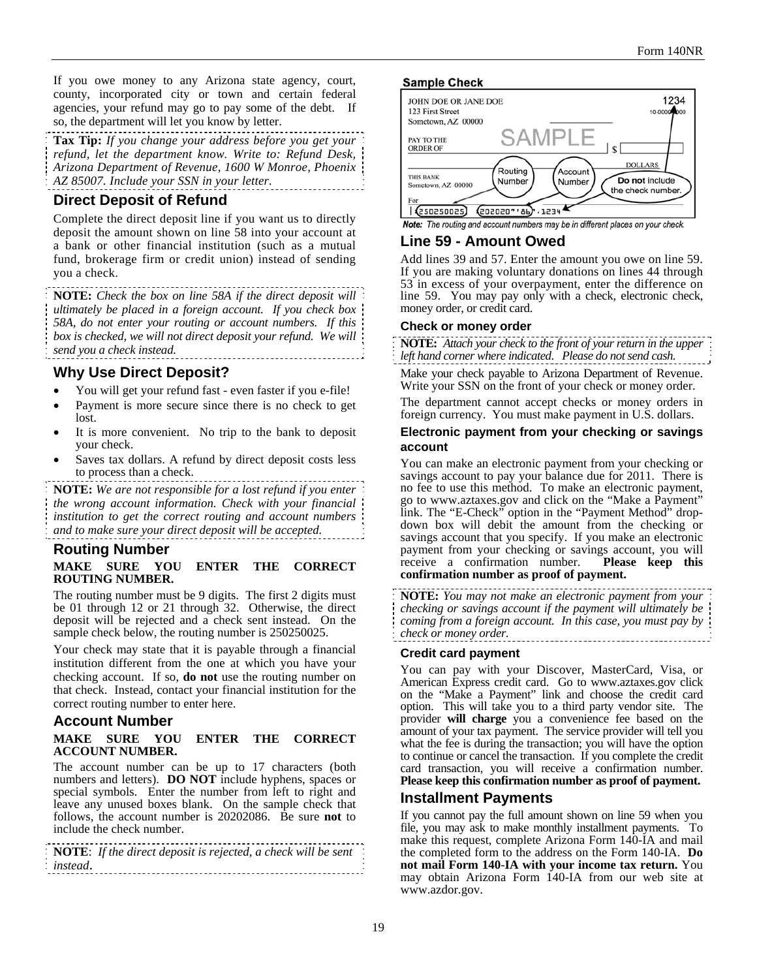If you owe money to any Arizona state agency, court, county, incorporated city or town and certain federal agencies, your refund may go to pay some of the debt. If so, the department will let you know by letter.

**Tax Tip:** *If you change your address before you get your refund, let the department know. Write to: Refund Desk, Arizona Department of Revenue, 1600 W Monroe, Phoenix AZ 85007. Include your SSN in your letter.* 

## **Direct Deposit of Refund**

Complete the direct deposit line if you want us to directly deposit the amount shown on line 58 into your account at a bank or other financial institution (such as a mutual fund, brokerage firm or credit union) instead of sending you a check.

**NOTE:** *Check the box on line 58A if the direct deposit will ultimately be placed in a foreign account. If you check box 58A, do not enter your routing or account numbers. If this box is checked, we will not direct deposit your refund. We will send you a check instead.* 

# **Why Use Direct Deposit?**

- You will get your refund fast even faster if you e-file!
- Payment is more secure since there is no check to get lost.
- It is more convenient. No trip to the bank to deposit your check.
- Saves tax dollars. A refund by direct deposit costs less to process than a check.

**NOTE:** *We are not responsible for a lost refund if you enter the wrong account information. Check with your financial institution to get the correct routing and account numbers and to make sure your direct deposit will be accepted.*

# **Routing Number**

#### **MAKE SURE YOU ENTER THE CORRECT ROUTING NUMBER.**

The routing number must be 9 digits. The first 2 digits must be 01 through 12 or 21 through 32. Otherwise, the direct deposit will be rejected and a check sent instead. On the sample check below, the routing number is 250250025.

Your check may state that it is payable through a financial institution different from the one at which you have your checking account. If so, **do not** use the routing number on that check. Instead, contact your financial institution for the correct routing number to enter here.

## **Account Number**

#### **MAKE SURE YOU ENTER THE CORRECT ACCOUNT NUMBER.**

The account number can be up to 17 characters (both numbers and letters). **DO NOT** include hyphens, spaces or special symbols. Enter the number from left to right and leave any unused boxes blank. On the sample check that follows, the account number is 20202086. Be sure **not** to include the check number.

**NOTE**: *If the direct deposit is rejected, a check will be sent instead*.

#### **Sample Check**



#### Note: The routing and account numbers may be in different places on your check.

## **Line 59 - Amount Owed**

Add lines 39 and 57. Enter the amount you owe on line 59. If you are making voluntary donations on lines 44 through 53 in excess of your overpayment, enter the difference on line 59.You may pay only with a check, electronic check, money order, or credit card.

#### **Check or money order**

**NOTE:** *Attach your check to the front of your return in the upper left hand corner where indicated*. *Please do not send cash.*

Make your check payable to Arizona Department of Revenue. Write your SSN on the front of your check or money order.

The department cannot accept checks or money orders in foreign currency. You must make payment in U.S. dollars.

#### **Electronic payment from your checking or savings account**

You can make an electronic payment from your checking or savings account to pay your balance due for 2011. There is no fee to use this method. To make an electronic payment, go to www.aztaxes.gov and click on the "Make a Payment" link. The "E-Check" option in the "Payment Method" dropdown box will debit the amount from the checking or savings account that you specify. If you make an electronic payment from your checking or savings account, you will<br>receive a confirmation number. **Please keep this** receive a confirmation number. **confirmation number as proof of payment.** 

**NOTE:** *You may not make an electronic payment from your checking or savings account if the payment will ultimately be coming from a foreign account. In this case, you must pay by check or money order.*  ........................

#### **Credit card payment**

You can pay with your Discover, MasterCard, Visa, or American Express credit card. Go to www.aztaxes.gov click on the "Make a Payment" link and choose the credit card option. This will take you to a third party vendor site. The provider **will charge** you a convenience fee based on the amount of your tax payment. The service provider will tell you what the fee is during the transaction; you will have the option to continue or cancel the transaction. If you complete the credit card transaction, you will receive a confirmation number. **Please keep this confirmation number as proof of payment.**

## **Installment Payments**

If you cannot pay the full amount shown on line 59 when you file, you may ask to make monthly installment payments. To make this request, complete Arizona Form 140-IA and mail the completed form to the address on the Form 140-IA. **Do not mail Form 140**-**IA with your income tax return.** You may obtain Arizona Form 140-IA from our web site at www.azdor.gov.